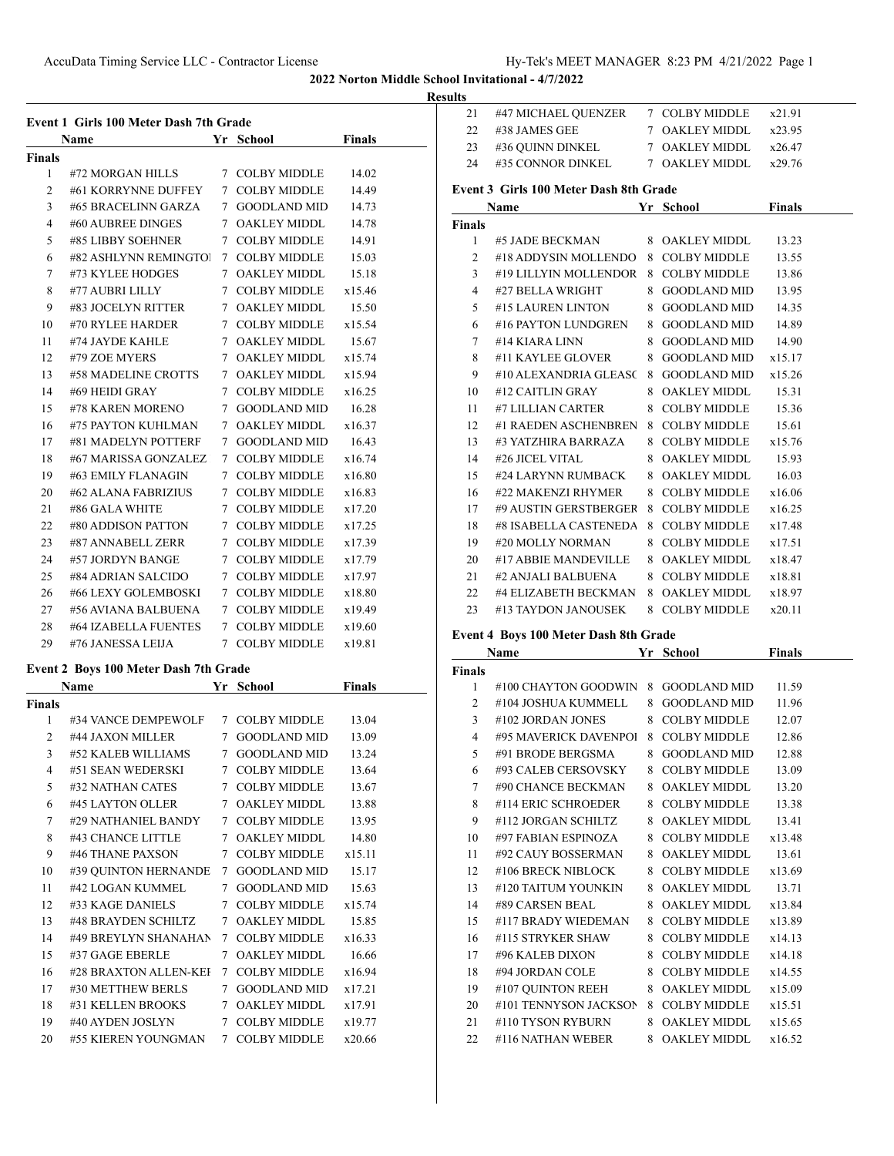**Results**

| <b>Event 1 Girls 100 Meter Dash 7th Grade</b> |                       |                   |                     |               |  |  |
|-----------------------------------------------|-----------------------|-------------------|---------------------|---------------|--|--|
|                                               | <b>Name</b>           | Yr                | <b>School</b>       | <b>Finals</b> |  |  |
| Finals                                        |                       |                   |                     |               |  |  |
| 1                                             | #72 MORGAN HILLS      | $7^{\circ}$       | <b>COLBY MIDDLE</b> | 14.02         |  |  |
| 2                                             | #61 KORRYNNE DUFFEY   | 7                 | <b>COLBY MIDDLE</b> | 14.49         |  |  |
| 3                                             | #65 BRACELINN GARZA   | $7^{\circ}$       | <b>GOODLAND MID</b> | 14.73         |  |  |
| 4                                             | #60 AUBREE DINGES     |                   | 7 OAKLEY MIDDL      | 14.78         |  |  |
| 5                                             | #85 LIBBY SOEHNER     | $7^{\circ}$       | <b>COLBY MIDDLE</b> | 14.91         |  |  |
| 6                                             | #82 ASHLYNN REMINGTOJ | $7^{\circ}$       | <b>COLBY MIDDLE</b> | 15.03         |  |  |
| 7                                             | #73 KYLEE HODGES      | $7^{\circ}$       | <b>OAKLEY MIDDL</b> | 15.18         |  |  |
| 8                                             | #77 AUBRI LILLY       | $7^{\circ}$       | COLBY MIDDLE        | x15.46        |  |  |
| 9                                             | #83 JOCELYN RITTER    | 7                 | <b>OAKLEY MIDDL</b> | 15.50         |  |  |
| 10                                            | #70 RYLEE HARDER      |                   | 7 COLBY MIDDLE      | x15.54        |  |  |
| 11                                            | #74 JAYDE KAHLE       |                   | 7 OAKLEY MIDDL      | 15.67         |  |  |
| 12                                            | #79 ZOE MYERS         |                   | 7 OAKLEY MIDDL      | x15.74        |  |  |
| 13                                            | #58 MADELINE CROTTS   |                   | 7 OAKLEY MIDDL      | x15.94        |  |  |
| 14                                            | #69 HEIDI GRAY        |                   | 7 COLBY MIDDLE      | x16.25        |  |  |
| 15                                            | #78 KAREN MORENO      | $7^{\circ}$       | <b>GOODLAND MID</b> | 16.28         |  |  |
| 16                                            | #75 PAYTON KUHLMAN    | 7                 | <b>OAKLEY MIDDL</b> | x16.37        |  |  |
| 17                                            | #81 MADELYN POTTERF   | $7\phantom{.000}$ | <b>GOODLAND MID</b> | 16.43         |  |  |
| 18                                            | #67 MARISSA GONZALEZ  | 7                 | COLBY MIDDLE        | x16.74        |  |  |
| 19                                            | #63 EMILY FLANAGIN    | $7\phantom{.0}$   | <b>COLBY MIDDLE</b> | x16.80        |  |  |
| 20                                            | #62 ALANA FABRIZIUS   |                   | 7 COLBY MIDDLE      | x16.83        |  |  |
| 21                                            | #86 GALA WHITE        | $7^{\circ}$       | <b>COLBY MIDDLE</b> | x17.20        |  |  |
| 22                                            | #80 ADDISON PATTON    |                   | 7 COLBY MIDDLE      | x17.25        |  |  |
| 23                                            | #87 ANNABELL ZERR     |                   | 7 COLBY MIDDLE      | x17.39        |  |  |
| 24                                            | #57 JORDYN BANGE      | $7^{\circ}$       | <b>COLBY MIDDLE</b> | x17.79        |  |  |
| 25                                            | #84 ADRIAN SALCIDO    | 7                 | <b>COLBY MIDDLE</b> | x17.97        |  |  |
| 26                                            | #66 LEXY GOLEMBOSKI   |                   | 7 COLBY MIDDLE      | x18.80        |  |  |
| 27                                            | #56 AVIANA BALBUENA   | $7^{\circ}$       | <b>COLBY MIDDLE</b> | x19.49        |  |  |
| 28                                            | #64 IZABELLA FUENTES  | 7                 | <b>COLBY MIDDLE</b> | x19.60        |  |  |
| 29                                            | #76 JANESSA LEIJA     | $7^{\circ}$       | <b>COLBY MIDDLE</b> | x19.81        |  |  |

# **Event 2 Boys 100 Meter Dash 7th Grade**<br>Name Vr Sch

|        | Name                  | Yr          | <b>School</b>       | Finals |  |
|--------|-----------------------|-------------|---------------------|--------|--|
| Finals |                       |             |                     |        |  |
| 1      | #34 VANCE DEMPEWOLF   | 7           | <b>COLBY MIDDLE</b> | 13.04  |  |
| 2      | #44 JAXON MILLER      | 7           | <b>GOODLAND MID</b> | 13.09  |  |
| 3      | #52 KALEB WILLIAMS    | 7           | <b>GOODLAND MID</b> | 13.24  |  |
| 4      | #51 SEAN WEDERSKI     | 7           | <b>COLBY MIDDLE</b> | 13.64  |  |
| 5      | #32 NATHAN CATES      | 7           | COLBY MIDDLE        | 13.67  |  |
| 6      | #45 LAYTON OLLER      | 7           | OAKLEY MIDDL        | 13.88  |  |
| 7      | #29 NATHANIEL BANDY   | $7^{\circ}$ | COLBY MIDDLE        | 13.95  |  |
| 8      | #43 CHANCE LITTLE     | $7^{\circ}$ | <b>OAKLEY MIDDL</b> | 14.80  |  |
| 9      | #46 THANE PAXSON      | 7           | COLBY MIDDLE        | x15.11 |  |
| 10     | #39 QUINTON HERNANDE  | 7           | GOODLAND MID        | 15.17  |  |
| 11     | #42 LOGAN KUMMEL      | 7           | <b>GOODLAND MID</b> | 15.63  |  |
| 12     | #33 KAGE DANIELS      | $7^{\circ}$ | <b>COLBY MIDDLE</b> | x15.74 |  |
| 13     | #48 BRAYDEN SCHILTZ   | 7           | <b>OAKLEY MIDDL</b> | 15.85  |  |
| 14     | #49 BREYLYN SHANAHAN  | 7           | COLBY MIDDLE        | x16.33 |  |
| 15     | #37 GAGE EBERLE       | 7           | <b>OAKLEY MIDDL</b> | 16.66  |  |
| 16     | #28 BRAXTON ALLEN-KEI | $7^{\circ}$ | <b>COLBY MIDDLE</b> | x16.94 |  |
| 17     | #30 METTHEW BERLS     | 7           | <b>GOODLAND MID</b> | x17.21 |  |
| 18     | #31 KELLEN BROOKS     | 7           | OAKLEY MIDDL        | x17.91 |  |
| 19     | #40 AYDEN JOSLYN      | 7           | <b>COLBY MIDDLE</b> | x19.77 |  |
| 20     | #55 KIEREN YOUNGMAN   | 7           | <b>COLBY MIDDLE</b> | x20.66 |  |

| .                                      |                                    |  |                |        |  |  |
|----------------------------------------|------------------------------------|--|----------------|--------|--|--|
| 21                                     | #47 MICHAEL QUENZER 7 COLBY MIDDLE |  |                | x21.91 |  |  |
| 22                                     | #38 JAMES GEE                      |  | 7 OAKLEY MIDDL | x23.95 |  |  |
| 23                                     | #36 OUINN DINKEL                   |  | 7 OAKLEY MIDDL | x26.47 |  |  |
| 24                                     | #35 CONNOR DINKEL                  |  | 7 OAKLEY MIDDL | x29.76 |  |  |
| Event 3 Girls 100 Meter Dash 8th Grade |                                    |  |                |        |  |  |
|                                        | Name                               |  | Yr School      | Finals |  |  |

|               | Name                  | Y r | School              | Finals |  |
|---------------|-----------------------|-----|---------------------|--------|--|
| <b>Finals</b> |                       |     |                     |        |  |
| 1             | #5 JADE BECKMAN       | 8   | <b>OAKLEY MIDDL</b> | 13.23  |  |
| 2             | #18 ADDYSIN MOLLENDO  | 8   | <b>COLBY MIDDLE</b> | 13.55  |  |
| 3             | #19 LILLYIN MOLLENDOR | 8   | <b>COLBY MIDDLE</b> | 13.86  |  |
| 4             | #27 BELLA WRIGHT      | 8   | <b>GOODLAND MID</b> | 13.95  |  |
| 5             | #15 LAUREN LINTON     | 8   | <b>GOODLAND MID</b> | 14.35  |  |
| 6             | #16 PAYTON LUNDGREN   | 8   | <b>GOODLAND MID</b> | 14.89  |  |
| 7             | #14 KIARA LINN        | 8   | <b>GOODLAND MID</b> | 14.90  |  |
| 8             | #11 KAYLEE GLOVER     | 8   | <b>GOODLAND MID</b> | x15.17 |  |
| 9             | #10 ALEXANDRIA GLEASC | 8   | <b>GOODLAND MID</b> | x15.26 |  |
| 10            | #12 CAITLIN GRAY      | 8   | <b>OAKLEY MIDDL</b> | 15.31  |  |
| 11            | #7 LILLIAN CARTER     | 8   | <b>COLBY MIDDLE</b> | 15.36  |  |
| 12            | #1 RAEDEN ASCHENBREN  | 8   | <b>COLBY MIDDLE</b> | 15.61  |  |
| 13            | #3 YATZHIRA BARRAZA   | 8   | <b>COLBY MIDDLE</b> | x15.76 |  |
| 14            | #26 JICEL VITAL       | 8   | <b>OAKLEY MIDDL</b> | 15.93  |  |
| 15            | #24 LARYNN RUMBACK    | 8   | <b>OAKLEY MIDDL</b> | 16.03  |  |
| 16            | #22 MAKENZI RHYMER    | 8   | <b>COLBY MIDDLE</b> | x16.06 |  |
| 17            | #9 AUSTIN GERSTBERGER | 8   | COLBY MIDDLE        | x16.25 |  |
| 18            | #8 ISABELLA CASTENEDA | 8   | <b>COLBY MIDDLE</b> | x17.48 |  |
| 19            | #20 MOLLY NORMAN      | 8   | <b>COLBY MIDDLE</b> | x17.51 |  |
| 20            | #17 ABBIE MANDEVILLE  | 8   | OAKLEY MIDDL        | x18.47 |  |
| 21            | #2 ANJALI BALBUENA    | 8   | <b>COLBY MIDDLE</b> | x18.81 |  |
| 22            | #4 ELIZABETH BECKMAN  | 8   | OAKLEY MIDDL        | x18.97 |  |
| 23            | #13 TAYDON JANOUSEK   | 8   | <b>COLBY MIDDLE</b> | x20.11 |  |

# **Event 4 Boys 100 Meter Dash 8th Grade**

|               | <b>Name</b>           | Yr | <b>School</b>       | Finals |
|---------------|-----------------------|----|---------------------|--------|
| <b>Finals</b> |                       |    |                     |        |
| 1             | #100 CHAYTON GOODWIN  | 8  | <b>GOODLAND MID</b> | 11.59  |
| 2             | #104 JOSHUA KUMMELL   | 8  | <b>GOODLAND MID</b> | 11.96  |
| 3             | #102 JORDAN JONES     | 8  | <b>COLBY MIDDLE</b> | 12.07  |
| 4             | #95 MAVERICK DAVENPOL | 8  | <b>COLBY MIDDLE</b> | 12.86  |
| 5             | #91 BRODE BERGSMA     | 8  | <b>GOODLAND MID</b> | 12.88  |
| 6             | #93 CALEB CERSOVSKY   | 8  | <b>COLBY MIDDLE</b> | 13.09  |
| 7             | #90 CHANCE BECKMAN    | 8  | <b>OAKLEY MIDDL</b> | 13.20  |
| 8             | #114 ERIC SCHROEDER   | 8  | <b>COLBY MIDDLE</b> | 13.38  |
| 9             | #112 JORGAN SCHILTZ   | 8  | OAKLEY MIDDL        | 13.41  |
| 10            | #97 FABIAN ESPINOZA   | 8  | <b>COLBY MIDDLE</b> | x13.48 |
| 11            | #92 CAUY BOSSERMAN    | 8  | <b>OAKLEY MIDDL</b> | 13.61  |
| 12            | #106 BRECK NIBLOCK    | 8  | <b>COLBY MIDDLE</b> | x13.69 |
| 13            | #120 TAITUM YOUNKIN   | 8  | <b>OAKLEY MIDDL</b> | 13.71  |
| 14            | #89 CARSEN BEAL       | 8  | <b>OAKLEY MIDDL</b> | x13.84 |
| 15            | #117 BRADY WIEDEMAN   | 8  | <b>COLBY MIDDLE</b> | x13.89 |
| 16            | #115 STRYKER SHAW     | 8  | <b>COLBY MIDDLE</b> | x14.13 |
| 17            | #96 KALEB DIXON       | 8  | <b>COLBY MIDDLE</b> | x14.18 |
| 18            | #94 JORDAN COLE       | 8  | <b>COLBY MIDDLE</b> | x14.55 |
| 19            | #107 OUINTON REEH     | 8  | <b>OAKLEY MIDDL</b> | x15.09 |
| 20            | #101 TENNYSON JACKSON | 8  | <b>COLBY MIDDLE</b> | x15.51 |
| 21            | #110 TYSON RYBURN     | 8  | OAKLEY MIDDL        | x15.65 |
| 22            | #116 NATHAN WEBER     | 8  | <b>OAKLEY MIDDL</b> | x16.52 |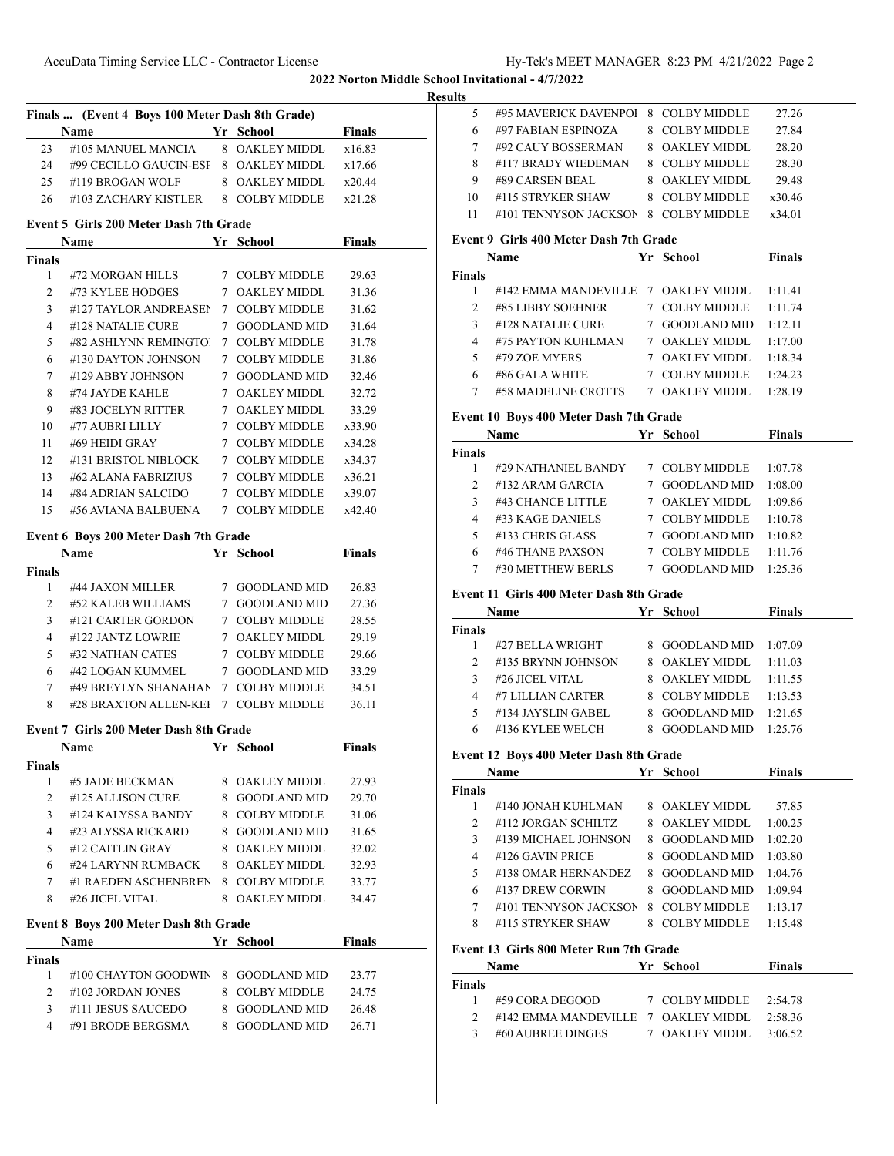## **Results**

| Finals  (Event 4 Boys 100 Meter Dash 8th Grade) |                                       |  |                |               |  |  |
|-------------------------------------------------|---------------------------------------|--|----------------|---------------|--|--|
|                                                 | <b>Name</b>                           |  | Yr School      | <b>Finals</b> |  |  |
| 23                                              | #105 MANUEL MANCIA 8 OAKLEY MIDDL     |  |                | x16.83        |  |  |
| 24                                              | #99 CECILLO GAUCIN-ESF 8 OAKLEY MIDDL |  |                | x17.66        |  |  |
| 25.                                             | #119 BROGAN WOLF                      |  | 8 OAKLEY MIDDL | x20.44        |  |  |
| 26                                              | #103 ZACHARY KISTLER                  |  | 8 COLBY MIDDLE | x21.28        |  |  |

## **Event 5 Girls 200 Meter Dash 7th Grade**

| Name          |                       |   | Yr School           | <b>Finals</b> |  |
|---------------|-----------------------|---|---------------------|---------------|--|
| <b>Finals</b> |                       |   |                     |               |  |
| 1             | #72 MORGAN HILLS      | 7 | COLBY MIDDLE        | 29.63         |  |
| 2             | #73 KYLEE HODGES      | 7 | <b>OAKLEY MIDDL</b> | 31.36         |  |
| 3             | #127 TAYLOR ANDREASEN | 7 | <b>COLBY MIDDLE</b> | 31.62         |  |
| 4             | #128 NATALIE CURE     | 7 | <b>GOODLAND MID</b> | 31.64         |  |
| 5             | #82 ASHLYNN REMINGTOJ | 7 | <b>COLBY MIDDLE</b> | 31.78         |  |
| 6             | #130 DAYTON JOHNSON   | 7 | COLBY MIDDLE        | 31.86         |  |
| 7             | #129 ABBY JOHNSON     | 7 | <b>GOODLAND MID</b> | 32.46         |  |
| 8             | #74 JAYDE KAHLE       | 7 | <b>OAKLEY MIDDL</b> | 32.72         |  |
| 9             | #83 JOCELYN RITTER    | 7 | <b>OAKLEY MIDDL</b> | 33.29         |  |
| 10            | #77 AUBRI LILLY       |   | COLBY MIDDLE        | x33.90        |  |
| 11            | #69 HEIDI GRAY        | 7 | <b>COLBY MIDDLE</b> | x34.28        |  |
| 12            | #131 BRISTOL NIBLOCK  | 7 | <b>COLBY MIDDLE</b> | x34.37        |  |
| 13            | #62 ALANA FABRIZIUS   | 7 | <b>COLBY MIDDLE</b> | x36.21        |  |
| 14            | #84 ADRIAN SALCIDO    | 7 | <b>COLBY MIDDLE</b> | x39.07        |  |
| 15            | #56 AVIANA BALBUENA   | 7 | COLBY MIDDLE        | x42.40        |  |

# **Event 6 Boys 200 Meter Dash 7th Grade**

|        | <b>Name</b>           | Yr | School              | <b>Finals</b> |  |
|--------|-----------------------|----|---------------------|---------------|--|
| Finals |                       |    |                     |               |  |
|        | #44 JAXON MILLER      |    | <b>GOODLAND MID</b> | 26.83         |  |
| 2      | #52 KALEB WILLIAMS    |    | <b>GOODLAND MID</b> | 27.36         |  |
| 3      | #121 CARTER GORDON    | 7  | <b>COLBY MIDDLE</b> | 28.55         |  |
| 4      | #122 JANTZ LOWRIE     |    | 7 OAKLEY MIDDL      | 29.19         |  |
| 5      | #32 NATHAN CATES      |    | <b>COLBY MIDDLE</b> | 29.66         |  |
| 6      | #42 LOGAN KUMMEL      | 7  | <b>GOODLAND MID</b> | 33.29         |  |
| 7      | #49 BREYLYN SHANAHAN  |    | 7 COLBY MIDDLE      | 34.51         |  |
| 8      | #28 BRAXTON ALLEN-KEI | 7  | <b>COLBY MIDDLE</b> | 36.11         |  |

### **Event 7 Girls 200 Meter Dash 8th Grade**

|                | <b>Name</b>          |   | Yr School           | Finals |  |
|----------------|----------------------|---|---------------------|--------|--|
| Finals         |                      |   |                     |        |  |
|                | #5 JADE BECKMAN      | 8 | <b>OAKLEY MIDDL</b> | 27.93  |  |
| $\mathfrak{D}$ | #125 ALLISON CURE    | 8 | <b>GOODLAND MID</b> | 29.70  |  |
| 3              | #124 KALYSSA BANDY   | 8 | <b>COLBY MIDDLE</b> | 31.06  |  |
| 4              | #23 ALYSSA RICKARD   | 8 | <b>GOODLAND MID</b> | 31.65  |  |
| 5              | $#12$ CAITLIN GRAY   | 8 | <b>OAKLEY MIDDL</b> | 32.02  |  |
| 6              | #24 LARYNN RUMBACK   | 8 | <b>OAKLEY MIDDL</b> | 32.93  |  |
| 7              | #1 RAEDEN ASCHENBREN | 8 | <b>COLBY MIDDLE</b> | 33.77  |  |
| 8              | #26 JICEL VITAL      |   | OAKLEY MIDDL        | 34.47  |  |

## **Event 8 Boys 200 Meter Dash 8th Grade**

| <b>Name</b>    |                                     | Yr School      | <b>Finals</b> |
|----------------|-------------------------------------|----------------|---------------|
| <b>Finals</b>  |                                     |                |               |
|                | #100 CHAYTON GOODWIN 8 GOODLAND MID |                | 23.77         |
|                | #102 JORDAN JONES                   | 8 COLBY MIDDLE | 24.75         |
| 3              | #111 JESUS SAUCEDO                  | 8 GOODLAND MID | 26.48         |
| $\overline{a}$ | #91 BRODE BERGSMA                   | - GOODLAND MID | 26.71         |

| 5  | #95 MAVERICK DAVENPOL |    | 8 COLBY MIDDLE | 27.26  |  |
|----|-----------------------|----|----------------|--------|--|
| 6  | #97 FABIAN ESPINOZA   |    | 8 COLBY MIDDLE | 27.84  |  |
|    | #92 CAUY BOSSERMAN    |    | 8 OAKLEY MIDDL | 28.20  |  |
| 8  | #117 BRADY WIEDEMAN   |    | 8 COLBY MIDDLE | 28.30  |  |
| 9  | #89 CARSEN BEAL       | 8. | OAKLEY MIDDL   | 29.48  |  |
| 10 | #115 STRYKER SHAW     | 8. | COLBY MIDDLE   | x30.46 |  |
| 11 | #101 TENNYSON JACKSON | 8  | COLBY MIDDLE   | x34.01 |  |
|    |                       |    |                |        |  |

# **Event 9 Girls 400 Meter Dash 7th Grade**

|               | Name                                | Yr School           | <b>Finals</b> |
|---------------|-------------------------------------|---------------------|---------------|
| <b>Finals</b> |                                     |                     |               |
|               | #142 EMMA MANDEVILLE 7 OAKLEY MIDDL |                     | 1:11.41       |
| $\mathcal{L}$ | #85 LIBBY SOEHNER                   | 7 COLBY MIDDLE      | 1:11.74       |
| 3             | #128 NATALIE CURE                   | GOODLAND MID        | 1:12.11       |
| 4             | #75 PAYTON KUHLMAN                  | OAKLEY MIDDL        | 1:17.00       |
| 5             | #79 ZOE MYERS                       | OAKLEY MIDDL        | 1:18.34       |
| 6             | #86 GALA WHITE                      | <b>COLBY MIDDLE</b> | 1:24.23       |
|               | #58 MADELINE CROTTS                 | <b>OAKLEY MIDDL</b> | 1:28.19       |

# **Event 10 Boys 400 Meter Dash 7th Grade**

|               | Name                |   | Yr School           | <b>Finals</b> |
|---------------|---------------------|---|---------------------|---------------|
| <b>Finals</b> |                     |   |                     |               |
|               | #29 NATHANIEL BANDY |   | 7 COLBY MIDDLE      | 1:07.78       |
| $\mathcal{L}$ | #132 ARAM GARCIA    |   | <b>GOODLAND MID</b> | 1:08.00       |
| 3             | #43 CHANCE LITTLE   | 7 | <b>OAKLEY MIDDL</b> | 1:09.86       |
| 4             | #33 KAGE DANIELS    |   | <b>COLBY MIDDLE</b> | 1:10.78       |
| 5             | #133 CHRIS GLASS    |   | <b>GOODLAND MID</b> | 1:10.82       |
| 6             | #46 THANE PAXSON    |   | <b>COLBY MIDDLE</b> | 1:11.76       |
|               | #30 METTHEW BERLS   |   | GOODLAND MID        | 1:25.36       |

## **Event 11 Girls 400 Meter Dash 8th Grade**

|               | <b>Name</b>        | Yr School                | Finals   |
|---------------|--------------------|--------------------------|----------|
| <b>Finals</b> |                    |                          |          |
|               | #27 BELLA WRIGHT   | 8 GOODLAND MID $1:07.09$ |          |
| $\mathcal{D}$ | #135 BRYNN JOHNSON | 8 OAKLEY MIDDL           | -1:11.03 |
| ٩             | #26 JICEL VITAL    | 8 OAKLEY MIDDL           | 1:11.55  |
| 4             | #7 LILLIAN CARTER  | 8 COLBY MIDDLE           | 1:13.53  |
| 5             | #134 JAYSLIN GABEL | 8 GOODLAND MID           | 1:21.65  |
| 6             | #136 KYLEE WELCH   | <b>GOODLAND MID</b>      | 1:25.76  |

## **Event 12 Boys 400 Meter Dash 8th Grade**

|                | Name                  |    | Yr School           | <b>Finals</b> |
|----------------|-----------------------|----|---------------------|---------------|
| Finals         |                       |    |                     |               |
|                | #140 JONAH KUHLMAN    | 8. | <b>OAKLEY MIDDL</b> | 57.85         |
| $\mathfrak{D}$ | #112 JORGAN SCHILTZ   |    | 8 OAKLEY MIDDL      | 1:00.25       |
| 3              | #139 MICHAEL JOHNSON  |    | 8 GOODLAND MID      | 1:02.20       |
| 4              | #126 GAVIN PRICE      | 8. | <b>GOODLAND MID</b> | 1:03.80       |
| 5              | #138 OMAR HERNANDEZ   | 8  | <b>GOODLAND MID</b> | 1:04.76       |
| 6              | #137 DREW CORWIN      | 8. | GOODLAND MID        | 1:09.94       |
| 7              | #101 TENNYSON JACKSON | 8  | <b>COLBY MIDDLE</b> | 1:13.17       |
| 8              | #115 STRYKER SHAW     | 8. | COLBY MIDDLE        | 1:15.48       |
|                |                       |    |                     |               |

## **Event 13 Girls 800 Meter Run 7th Grade**

|        | <b>Name</b>                                          | Yr School              | <b>Finals</b> |
|--------|------------------------------------------------------|------------------------|---------------|
| Finals |                                                      |                        |               |
|        | $#59$ CORA DEGOOD                                    | 7 COLBY MIDDLE 2:54.78 |               |
|        | $\#142$ EMMA MANDEVILLE $-7$ OAKLEY MIDDL $-2:58.36$ |                        |               |
|        | #60 AUBREE DINGES                                    | 7 OAKLEY MIDDL 3:06.52 |               |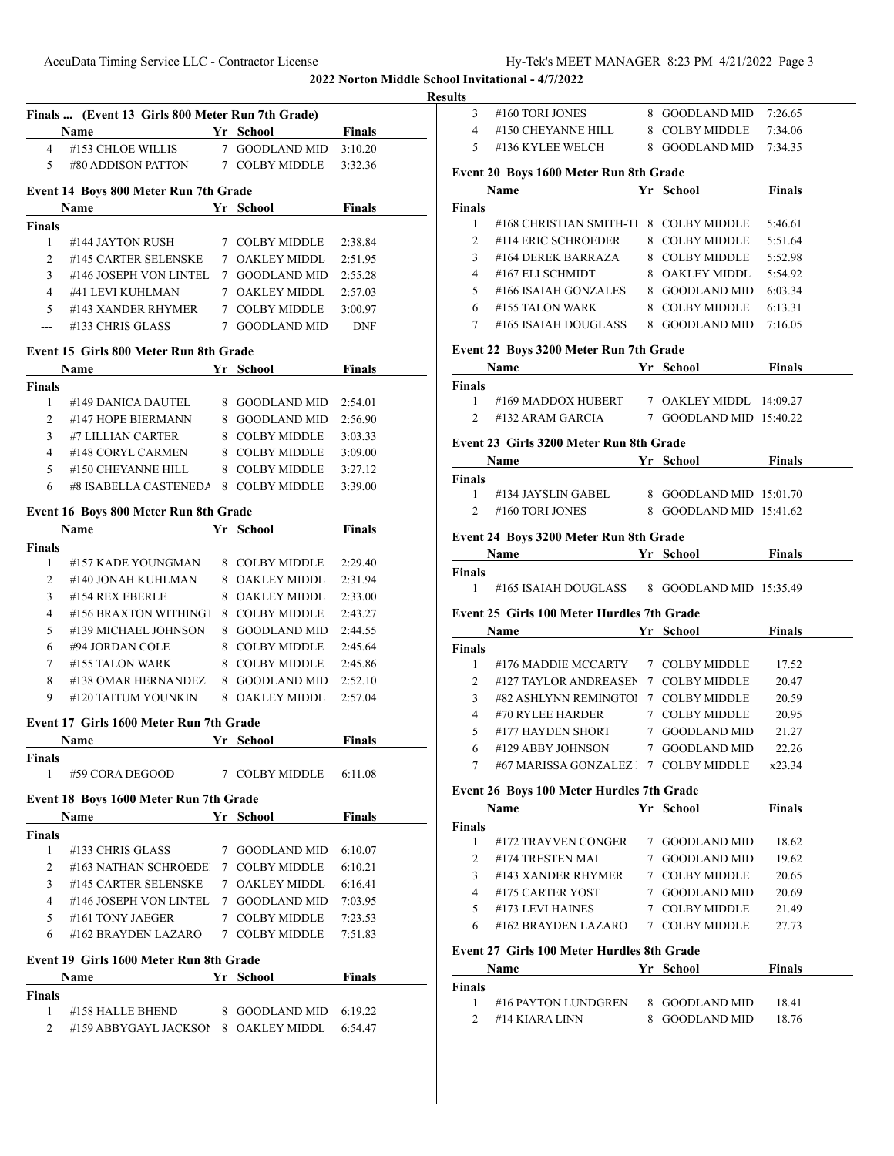## **Resul**

|                 |                                                                                          |                        |               | results |
|-----------------|------------------------------------------------------------------------------------------|------------------------|---------------|---------|
|                 | Finals  (Event 13 Girls 800 Meter Run 7th Grade)                                         |                        |               |         |
|                 | #153 CHLOE WILLIS 7 GOODLAND MID 3:10.20                                                 |                        |               |         |
| $4\overline{ }$ | 5 #80 ADDISON PATTON $7$ COLBY MIDDLE 3:32.36                                            |                        |               |         |
|                 |                                                                                          |                        |               |         |
|                 | <b>Event 14 Boys 800 Meter Run 7th Grade</b>                                             |                        |               |         |
|                 | Name Yr School Finals                                                                    |                        |               |         |
| Finals          |                                                                                          |                        |               |         |
| $\mathbf{1}$    | #144 JAYTON RUSH $7$ COLBY MIDDLE $2:38.84$                                              |                        |               |         |
|                 | 2 #145 CARTER SELENSKE 7 OAKLEY MIDDL 2:51.95                                            |                        |               |         |
|                 | $3$ #146 JOSEPH VON LINTEL $\,$ 7 $\,$ GOODLAND MID $\,$ $\,$ 2:55.28 $\,$               |                        |               |         |
|                 | 4 #41 LEVI KUHLMAN 7 OAKLEY MIDDL 2:57.03<br>5 #143 XANDER RHYMER 7 COLBY MIDDLE 3:00.97 |                        |               |         |
|                 |                                                                                          |                        |               |         |
|                 | --- #133 CHRIS GLASS 7 GOODLAND MID DNF                                                  |                        |               |         |
|                 | Event 15 Girls 800 Meter Run 8th Grade                                                   |                        |               |         |
|                 |                                                                                          |                        |               |         |
| Finals          |                                                                                          |                        |               |         |
| $\mathbf{1}$    | #149 DANICA DAUTEL 8 GOODLAND MID 2:54.01                                                |                        |               |         |
|                 | 2 #147 HOPE BIERMANN 8 GOODLAND MID 2:56.90                                              |                        |               |         |
|                 | 3 #7 LILLIAN CARTER 8 COLBY MIDDLE 3:03.33                                               |                        |               |         |
|                 | 4 #148 CORYL CARMEN 8 COLBY MIDDLE 3:09.00                                               |                        |               |         |
|                 | 5 #150 CHEYANNE HILL 8 COLBY MIDDLE 3:27.12                                              |                        |               |         |
|                 | $6$ #8 ISABELLA CASTENEDA $8$ COLBY MIDDLE $3:39.00$                                     |                        |               |         |
|                 |                                                                                          |                        |               |         |
|                 | Event 16 Boys 800 Meter Run 8th Grade                                                    |                        |               |         |
|                 | Name Yr School Finals                                                                    |                        |               |         |
| Finals<br>1     | #157 KADE YOUNGMAN 8 COLBY MIDDLE 2:29.40                                                |                        |               |         |
|                 |                                                                                          |                        |               |         |
| $\overline{2}$  | #140 JONAH KUHLMAN 8 OAKLEY MIDDL 2:31.94                                                |                        |               |         |
| 3               | #154 REX EBERLE                                                                          | 8 OAKLEY MIDDL 2:33.00 |               |         |
| $\overline{4}$  | #156 BRAXTON WITHING1 8 COLBY MIDDLE 2:43.27                                             |                        |               |         |
| 5               | #139 MICHAEL JOHNSON 8 GOODLAND MID 2:44.55                                              |                        |               |         |
| 6               | #94 JORDAN COLE 8 COLBY MIDDLE 2:45.64                                                   |                        |               |         |
|                 | 7 #155 TALON WARK 8 COLBY MIDDLE 2:45.86                                                 |                        |               |         |
| 8               | #138 OMAR HERNANDEZ 8 GOODLAND MID 2:52.10                                               |                        |               |         |
| 9               | #120 TAITUM YOUNKIN 8 OAKLEY MIDDL                                                       |                        | 2:57.04       |         |
|                 | Event 17 Girls 1600 Meter Run 7th Grade                                                  |                        |               |         |
|                 | <b>Example 18 Yr School</b> Finals<br>Name                                               |                        |               |         |
| Finals          |                                                                                          |                        |               |         |
| 1               | #59 CORA DEGOOD 7 COLBY MIDDLE 6:11.08                                                   |                        |               |         |
|                 | Event 18 Boys 1600 Meter Run 7th Grade                                                   |                        |               |         |
|                 | Name                                                                                     | Yr School              | <b>Finals</b> |         |
| Finals          |                                                                                          |                        |               |         |
| $\mathbf{1}$    | #133 CHRIS GLASS                                                                         | 7 GOODLAND MID 6:10.07 |               |         |
| 2               | #163 NATHAN SCHROEDE 7 COLBY MIDDLE 6:10.21                                              |                        |               |         |
| 3               | #145 CARTER SELENSKE 7 OAKLEY MIDDL                                                      |                        | 6:16.41       |         |
|                 | 4 #146 JOSEPH VON LINTEL 7 GOODLAND MID                                                  |                        | 7:03.95       |         |
|                 | 5 #161 TONY JAEGER 7 COLBY MIDDLE                                                        |                        | 7:23.53       |         |
| 6               | #162 BRAYDEN LAZARO 7 COLBY MIDDLE                                                       |                        | 7:51.83       |         |
|                 | Event 19 Girls 1600 Meter Run 8th Grade                                                  |                        |               |         |
|                 |                                                                                          |                        | Finals        |         |
|                 | Name Yr School                                                                           |                        |               |         |
|                 |                                                                                          |                        |               |         |
| Finals<br>1     | #158 HALLE BHEND 8 GOODLAND MID 6:19.22                                                  |                        |               |         |

| lts    |                                                                                                                                                                                              |                         |               |  |
|--------|----------------------------------------------------------------------------------------------------------------------------------------------------------------------------------------------|-------------------------|---------------|--|
|        | 3 #160 TORI JONES                                                                                                                                                                            | 8 GOODLAND MID 7:26.65  |               |  |
|        | $4$ #150 CHEYANNE HILL $\qquad \  \, 8\;\;$ COLBY MIDDLE $\qquad 7:34.06$                                                                                                                    |                         |               |  |
|        | 5 #136 KYLEE WELCH 8 GOODLAND MID 7:34.35                                                                                                                                                    |                         |               |  |
|        | Event 20 Boys 1600 Meter Run 8th Grade                                                                                                                                                       |                         |               |  |
|        | Name Yr School Finals                                                                                                                                                                        |                         |               |  |
| Finals |                                                                                                                                                                                              |                         |               |  |
| 1      | #168 CHRISTIAN SMITH-T 8 COLBY MIDDLE                                                                                                                                                        |                         | 5:46.61       |  |
|        | 2 #114 ERIC SCHROEDER 8 COLBY MIDDLE 5:51.64                                                                                                                                                 |                         |               |  |
|        | 3 #164 DEREK BARRAZA 8 COLBY MIDDLE 5:52.98                                                                                                                                                  |                         |               |  |
|        | 4 #167 ELI SCHMIDT 8 OAKLEY MIDDL 5:54.92                                                                                                                                                    |                         |               |  |
|        | 5 #166 ISAIAH GONZALES 8 GOODLAND MID 6:03.34                                                                                                                                                |                         |               |  |
|        | 6 #155 TALON WARK 8 COLBY MIDDLE 6:13.31                                                                                                                                                     |                         |               |  |
|        | 7 #165 ISAIAH DOUGLASS 8 GOODLAND MID 7:16.05                                                                                                                                                |                         |               |  |
|        |                                                                                                                                                                                              |                         |               |  |
|        | Event 22 Boys 3200 Meter Run 7th Grade                                                                                                                                                       |                         |               |  |
|        | <b>Name School Primary Primary Primary Primary Primary Primary Primary Primary Primary Primary</b>                                                                                           |                         |               |  |
| Finals |                                                                                                                                                                                              |                         |               |  |
|        | 1 #169 MADDOX HUBERT 7 OAKLEY MIDDL 14:09.27                                                                                                                                                 |                         |               |  |
|        | 2 #132 ARAM GARCIA $7$ GOODLAND MID 15:40.22                                                                                                                                                 |                         |               |  |
|        | Event 23 Girls 3200 Meter Run 8th Grade                                                                                                                                                      |                         |               |  |
|        | <b>Solution School Example 3 Assume School Example 3 Assume School Example 3 Assume School</b>                                                                                               |                         |               |  |
| Finals |                                                                                                                                                                                              |                         |               |  |
|        | 1 #134 JAYSLIN GABEL 8 GOODLAND MID 15:01.70                                                                                                                                                 |                         |               |  |
|        | 2 #160 TORI JONES                                                                                                                                                                            | 8 GOODLAND MID 15:41.62 |               |  |
|        | Event 24 Boys 3200 Meter Run 8th Grade                                                                                                                                                       |                         |               |  |
|        | <b>Same Server School Einals</b> Press, Name School Einals                                                                                                                                   |                         |               |  |
| Finals |                                                                                                                                                                                              |                         |               |  |
|        | 1 #165 ISAIAH DOUGLASS 8 GOODLAND MID 15:35.49                                                                                                                                               |                         |               |  |
|        | <b>Event 25 Girls 100 Meter Hurdles 7th Grade</b>                                                                                                                                            |                         |               |  |
|        | Name Yr School                                                                                                                                                                               |                         | <b>Finals</b> |  |
| Finals |                                                                                                                                                                                              |                         |               |  |
|        | 1 #176 MADDIE MCCARTY 7 COLBY MIDDLE 17.52                                                                                                                                                   |                         |               |  |
|        | 2 #127 TAYLOR ANDREASEN 7 COLBY MIDDLE 20.47                                                                                                                                                 |                         |               |  |
|        | 3 #82 ASHLYNN REMINGTO! $7$ COLBY MIDDLE                                                                                                                                                     |                         | 20.59         |  |
|        |                                                                                                                                                                                              |                         |               |  |
|        | $\begin{tabular}{llll} 4 & \# 70 \text{ RYLEE HARDER} & \qquad & 7 & COLBY MIDDLE & \qquad & 20.95 \\ 5 & \# 177 HAYDEN SHORT & \qquad & 7 & GOODLAND MID & \qquad & 21.27 \\ \end{tabular}$ |                         |               |  |
|        | 6 #129 ABBY JOHNSON 7 GOODLAND MID                                                                                                                                                           |                         | 22.26         |  |
|        | 7 #67 MARISSA GONZALEZ 7 COLBY MIDDLE x23.34                                                                                                                                                 |                         |               |  |
|        |                                                                                                                                                                                              |                         |               |  |
|        | Event 26 Boys 100 Meter Hurdles 7th Grade                                                                                                                                                    |                         |               |  |
|        | Name Yr School Finals                                                                                                                                                                        |                         |               |  |
| Finals | 1 #172 TRAYVEN CONGER 7 GOODLAND MID 18.62                                                                                                                                                   |                         |               |  |
|        | 2 #174 TRESTEN MAI 7 GOODLAND MID 19.62                                                                                                                                                      |                         |               |  |
|        | 3 #143 XANDER RHYMER 7 COLBY MIDDLE                                                                                                                                                          |                         | 20.65         |  |
|        | 4 #175 CARTER YOST                                                                                                                                                                           | 7 GOODLAND MID 20.69    |               |  |
|        | 5 #173 LEVI HAINES 7 COLBY MIDDLE 21.49                                                                                                                                                      |                         |               |  |
|        | 6 #162 BRAYDEN LAZARO 7 COLBY MIDDLE 27.73                                                                                                                                                   |                         |               |  |
|        |                                                                                                                                                                                              |                         |               |  |
|        | Event 27 Girls 100 Meter Hurdles 8th Grade                                                                                                                                                   |                         |               |  |
|        |                                                                                                                                                                                              |                         |               |  |
|        | Name Yr School Finals                                                                                                                                                                        |                         |               |  |
|        |                                                                                                                                                                                              |                         |               |  |
|        | 1 #16 PAYTON LUNDGREN 8 GOODLAND MID 18.41                                                                                                                                                   |                         |               |  |
| Finals | 2 #14 KIARA LINN                                                                                                                                                                             | 8 GOODLAND MID          | 18.76         |  |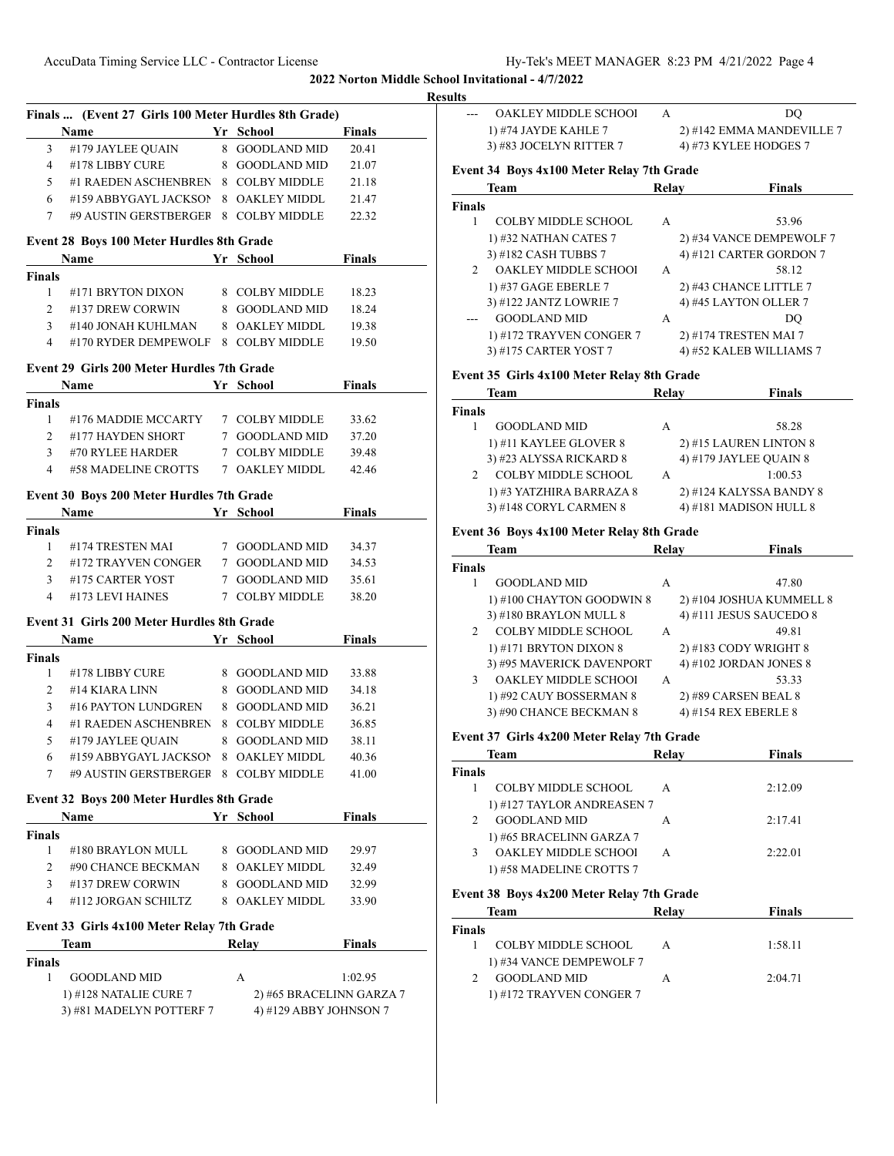|                                                      | Finals  (Event 27 Girls 100 Meter Hurdles 8th Grade) |                          |               |
|------------------------------------------------------|------------------------------------------------------|--------------------------|---------------|
|                                                      | <u>Yr</u> School<br>Name                             | <b>Example 1</b> Finals  |               |
| 3 <sup>7</sup>                                       | #179 JAYLEE QUAIN 8 GOODLAND MID                     |                          | 20.41         |
| $4 \quad$                                            | #178 LIBBY CURE 8 GOODLAND MID 21.07                 |                          |               |
| 5 <sup>5</sup>                                       | #1 RAEDEN ASCHENBREN 8 COLBY MIDDLE 21.18            |                          |               |
| 6                                                    | #159 ABBYGAYL JACKSON 8 OAKLEY MIDDL 21.47           |                          |               |
|                                                      | 7 #9 AUSTIN GERSTBERGER 8 COLBY MIDDLE 22.32         |                          |               |
|                                                      | Event 28 Boys 100 Meter Hurdles 8th Grade            |                          |               |
| <b>Finals</b>                                        | Name Yr School Finals                                |                          |               |
| 1                                                    | #171 BRYTON DIXON 8 COLBY MIDDLE 18.23               |                          |               |
|                                                      | 2 #137 DREW CORWIN 8 GOODLAND MID                    |                          | 18.24         |
|                                                      | 3 #140 JONAH KUHLMAN 8 OAKLEY MIDDL                  |                          | 19.38         |
|                                                      | 4 #170 RYDER DEMPEWOLF 8 COLBY MIDDLE 19.50          |                          |               |
|                                                      | Event 29 Girls 200 Meter Hurdles 7th Grade           |                          |               |
|                                                      | Name<br><b>Example 21 State of School</b> Pinals     |                          |               |
| <b>Finals</b>                                        |                                                      |                          |               |
| 1                                                    | #176 MADDIE MCCARTY 7 COLBY MIDDLE 33.62             |                          |               |
| $\overline{2}$                                       | #177 HAYDEN SHORT 7 GOODLAND MID 37.20               |                          |               |
|                                                      | 3 #70 RYLEE HARDER 7 COLBY MIDDLE 39.48              |                          |               |
|                                                      | 4 #58 MADELINE CROTTS 7 OAKLEY MIDDL 42.46           |                          |               |
|                                                      | Event 30 Boys 200 Meter Hurdles 7th Grade            |                          |               |
|                                                      | Name<br><u> 1990 - John Harry Barn, mars a</u>       | Yr School                | <b>Finals</b> |
| <b>Finals</b>                                        |                                                      |                          |               |
| 1                                                    | #174 TRESTEN MAI 7 GOODLAND MID 34.37                |                          |               |
|                                                      | 2 #172 TRAYVEN CONGER 7 GOODLAND MID 34.53           |                          |               |
|                                                      | 3 #175 CARTER YOST 7 GOODLAND MID 35.61              |                          |               |
|                                                      | 4 #173 LEVI HAINES                                   | 7 COLBY MIDDLE           | 38.20         |
|                                                      | Event 31 Girls 200 Meter Hurdles 8th Grade           |                          |               |
|                                                      | <b>School Finals</b><br>Name                         |                          |               |
|                                                      |                                                      |                          |               |
|                                                      |                                                      |                          |               |
| $1 \quad$                                            | #178 LIBBY CURE 8 GOODLAND MID 33.88                 |                          |               |
|                                                      | 2 #14 KIARA LINN 8 GOODLAND MID 34.18                |                          |               |
| 3 <sup>7</sup>                                       | #16 PAYTON LUNDGREN 8 GOODLAND MID 36.21             |                          |               |
| $\overline{4}$                                       | #1 RAEDEN ASCHENBREN 8 COLBY MIDDLE                  |                          | 36.85         |
| 5                                                    | #179 JAYLEE QUAIN                                    | 8 GOODLAND MID           | 38.11         |
| 6                                                    | #159 ABBYGAYL JACKSON                                | 8 OAKLEY MIDDL           | 40.36         |
| 7                                                    | #9 AUSTIN GERSTBERGER                                | 8 COLBY MIDDLE           | 41.00         |
|                                                      | Event 32 Boys 200 Meter Hurdles 8th Grade            |                          |               |
|                                                      | Name                                                 | Yr School                | Finals        |
|                                                      |                                                      |                          |               |
| 1                                                    | #180 BRAYLON MULL                                    | 8 GOODLAND MID           | 29.97         |
| $\overline{2}$                                       | #90 CHANCE BECKMAN                                   | 8 OAKLEY MIDDL           | 32.49         |
| 3                                                    | #137 DREW CORWIN                                     | 8 GOODLAND MID           | 32.99         |
| 4                                                    | #112 JORGAN SCHILTZ                                  | 8 OAKLEY MIDDL           | 33.90         |
|                                                      |                                                      |                          |               |
|                                                      | Event 33 Girls 4x100 Meter Relay 7th Grade<br>Team   | Relay                    | <b>Finals</b> |
|                                                      |                                                      |                          |               |
| <b>Finals</b><br><b>Finals</b><br><b>Finals</b><br>1 | <b>GOODLAND MID</b>                                  | А                        | 1:02.95       |
|                                                      | 1) #128 NATALIE CURE 7                               | 2) #65 BRACELINN GARZA 7 |               |

| ults           |                                            |                |                           |
|----------------|--------------------------------------------|----------------|---------------------------|
| $---$          | <b>OAKLEY MIDDLE SCHOOL</b>                | $\overline{A}$ | DO                        |
|                | 1) #74 JAYDE KAHLE 7                       |                | 2) #142 EMMA MANDEVILLE 7 |
|                | 3) #83 JOCELYN RITTER 7                    |                | 4) #73 KYLEE HODGES 7     |
|                | Event 34 Boys 4x100 Meter Relay 7th Grade  |                |                           |
|                | Team                                       | Relay          | <b>Finals</b>             |
| <b>Finals</b>  |                                            |                |                           |
| 1              | <b>COLBY MIDDLE SCHOOL</b>                 | A              | 53.96                     |
|                | 1) #32 NATHAN CATES 7                      |                | 2) #34 VANCE DEMPEWOLF 7  |
|                | 3) #182 CASH TUBBS 7                       |                | 4) #121 CARTER GORDON 7   |
| $2^{\circ}$    | <b>OAKLEY MIDDLE SCHOOL</b>                | A              | 58.12                     |
|                | 1) #37 GAGE EBERLE 7                       |                | 2) #43 CHANCE LITTLE 7    |
|                | 3) #122 JANTZ LOWRIE 7                     |                | 4) #45 LAYTON OLLER 7     |
|                | <b>GOODLAND MID</b>                        | A              | DO                        |
|                | 1) #172 TRAYVEN CONGER 7                   |                | 2) #174 TRESTEN MAI 7     |
|                | 3) #175 CARTER YOST 7                      |                | 4) #52 KALEB WILLIAMS 7   |
|                | Event 35 Girls 4x100 Meter Relay 8th Grade |                |                           |
|                | Team                                       | Relay          | <b>Finals</b>             |
| <b>Finals</b>  |                                            |                |                           |
| 1              | <b>GOODLAND MID</b>                        | A              | 58.28                     |
|                | 1) #11 KAYLEE GLOVER 8                     |                | 2) #15 LAUREN LINTON 8    |
|                | 3) #23 ALYSSA RICKARD 8                    |                | 4) #179 JAYLEE QUAIN 8    |
| $\mathfrak{D}$ | COLBY MIDDLE SCHOOL                        | A              | 1:00.53                   |
|                | 1) #3 YATZHIRA BARRAZA 8                   |                | 2) #124 KALYSSA BANDY 8   |
|                | 3) #148 CORYL CARMEN 8                     |                | 4) #181 MADISON HULL 8    |
|                | Event 36 Boys 4x100 Meter Relay 8th Grade  |                |                           |
|                | Team                                       | Relay          | <b>Finals</b>             |
| <b>Finals</b>  |                                            |                |                           |
|                |                                            |                |                           |

| inais         |                             |   |                          |
|---------------|-----------------------------|---|--------------------------|
|               | <b>GOODLAND MID</b>         | А | 47.80                    |
|               | 1) #100 CHAYTON GOODWIN 8   |   | 2) #104 JOSHUA KUMMELL 8 |
|               | 3) #180 BRAYLON MULL 8      |   | 4) #111 JESUS SAUCEDO 8  |
| $\mathcal{D}$ | <b>COLBY MIDDLE SCHOOL</b>  | A | 49.81                    |
|               | 1) #171 BRYTON DIXON 8      |   | 2) #183 CODY WRIGHT 8    |
|               | 3) #95 MAVERICK DAVENPORT   |   | 4) #102 JORDAN JONES 8   |
| 3             | <b>OAKLEY MIDDLE SCHOOL</b> | A | 53.33                    |
|               | 1) #92 CAUY BOSSERMAN 8     |   | 2) #89 CARSEN BEAL 8     |
|               | 3) #90 CHANCE BECKMAN 8     |   | 4) #154 REX EBERLE 8     |

# **Event 37 Girls 4x200 Meter Relay 7th Grade**

|               | Team                        | Relav | <b>Finals</b> |
|---------------|-----------------------------|-------|---------------|
| <b>Finals</b> |                             |       |               |
|               | COLBY MIDDLE SCHOOL         |       | 2:12.09       |
|               | 1) #127 TAYLOR ANDREASEN 7  |       |               |
|               | <b>GOODLAND MID</b>         |       | 2:17.41       |
|               | 1) #65 BRACELINN GARZA 7    |       |               |
| 3             | <b>OAKLEY MIDDLE SCHOOL</b> | А     | 2:22.01       |
|               | 1) #58 MADELINE CROTTS 7    |       |               |

# **Event 38 Boys 4x200 Meter Relay 7th Grade**

 $\overline{\phantom{a}}$ 

|               | Team                     | Relay | <b>Finals</b> |
|---------------|--------------------------|-------|---------------|
| <b>Finals</b> |                          |       |               |
|               | COLBY MIDDLE SCHOOL      |       | 1:58.11       |
|               | 1) #34 VANCE DEMPEWOLF 7 |       |               |
|               | <b>GOODLAND MID</b>      |       | 2:04.71       |
|               | 1) #172 TRAYVEN CONGER 7 |       |               |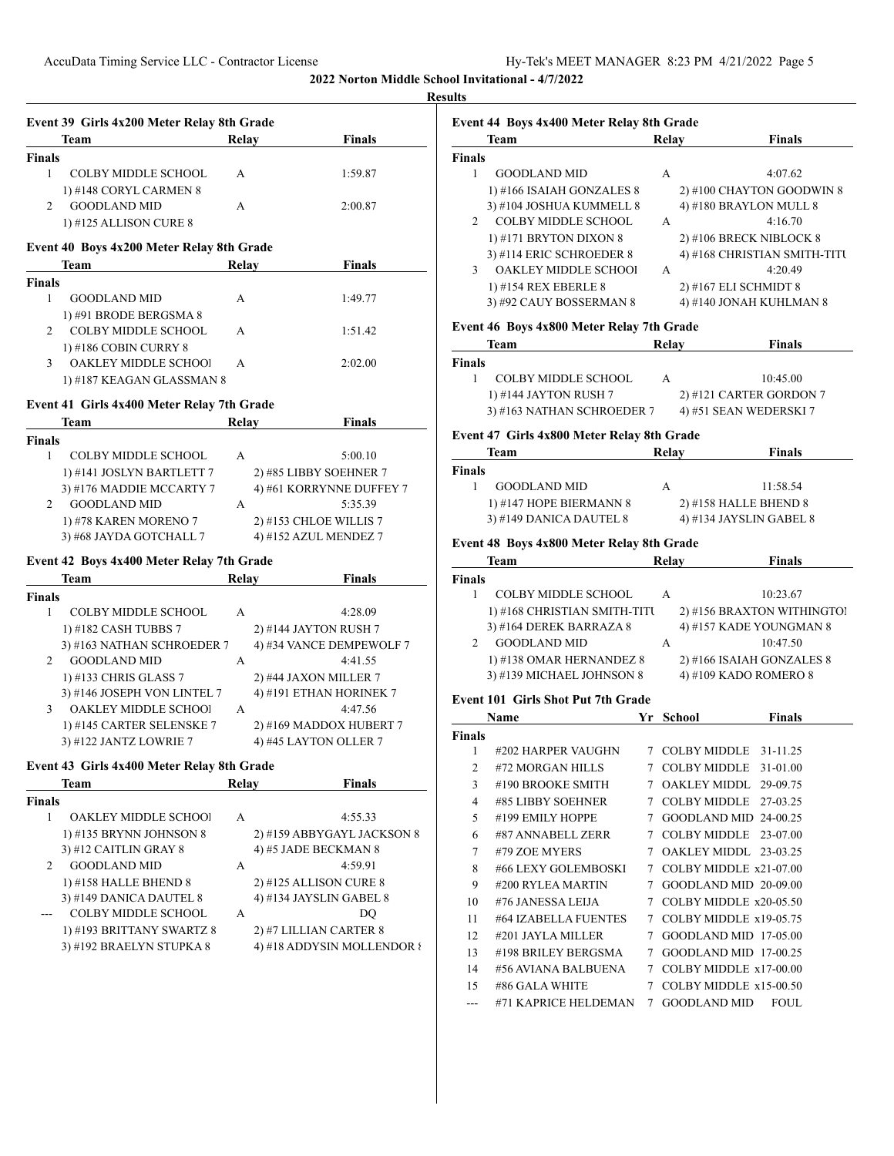| Event 39 Girls 4x200 Meter Relay 8th Grade |                                                                                                                                                                                                                                                                                                                                                                                                                                                                   |                                                                                                                                                                                                                                                                                                                                                                      |
|--------------------------------------------|-------------------------------------------------------------------------------------------------------------------------------------------------------------------------------------------------------------------------------------------------------------------------------------------------------------------------------------------------------------------------------------------------------------------------------------------------------------------|----------------------------------------------------------------------------------------------------------------------------------------------------------------------------------------------------------------------------------------------------------------------------------------------------------------------------------------------------------------------|
| Team                                       | Relav                                                                                                                                                                                                                                                                                                                                                                                                                                                             | <b>Finals</b>                                                                                                                                                                                                                                                                                                                                                        |
|                                            |                                                                                                                                                                                                                                                                                                                                                                                                                                                                   |                                                                                                                                                                                                                                                                                                                                                                      |
| <b>COLBY MIDDLE SCHOOL</b>                 | А                                                                                                                                                                                                                                                                                                                                                                                                                                                                 | 1:59.87                                                                                                                                                                                                                                                                                                                                                              |
| 1) #148 CORYL CARMEN 8                     |                                                                                                                                                                                                                                                                                                                                                                                                                                                                   |                                                                                                                                                                                                                                                                                                                                                                      |
|                                            | А                                                                                                                                                                                                                                                                                                                                                                                                                                                                 | 2:00.87                                                                                                                                                                                                                                                                                                                                                              |
| 1) #125 ALLISON CURE 8                     |                                                                                                                                                                                                                                                                                                                                                                                                                                                                   |                                                                                                                                                                                                                                                                                                                                                                      |
|                                            |                                                                                                                                                                                                                                                                                                                                                                                                                                                                   |                                                                                                                                                                                                                                                                                                                                                                      |
| Team                                       |                                                                                                                                                                                                                                                                                                                                                                                                                                                                   | <b>Finals</b>                                                                                                                                                                                                                                                                                                                                                        |
|                                            |                                                                                                                                                                                                                                                                                                                                                                                                                                                                   |                                                                                                                                                                                                                                                                                                                                                                      |
| <b>GOODLAND MID</b>                        | А                                                                                                                                                                                                                                                                                                                                                                                                                                                                 | 1:49.77                                                                                                                                                                                                                                                                                                                                                              |
| 1) #91 BRODE BERGSMA 8                     |                                                                                                                                                                                                                                                                                                                                                                                                                                                                   |                                                                                                                                                                                                                                                                                                                                                                      |
| COLBY MIDDLE SCHOOL                        | A                                                                                                                                                                                                                                                                                                                                                                                                                                                                 | 1:51.42                                                                                                                                                                                                                                                                                                                                                              |
| 1) #186 COBIN CURRY 8                      |                                                                                                                                                                                                                                                                                                                                                                                                                                                                   |                                                                                                                                                                                                                                                                                                                                                                      |
|                                            | A                                                                                                                                                                                                                                                                                                                                                                                                                                                                 | 2:02.00                                                                                                                                                                                                                                                                                                                                                              |
|                                            |                                                                                                                                                                                                                                                                                                                                                                                                                                                                   |                                                                                                                                                                                                                                                                                                                                                                      |
|                                            |                                                                                                                                                                                                                                                                                                                                                                                                                                                                   |                                                                                                                                                                                                                                                                                                                                                                      |
| Team                                       |                                                                                                                                                                                                                                                                                                                                                                                                                                                                   | <b>Finals</b>                                                                                                                                                                                                                                                                                                                                                        |
|                                            |                                                                                                                                                                                                                                                                                                                                                                                                                                                                   |                                                                                                                                                                                                                                                                                                                                                                      |
| <b>COLBY MIDDLE SCHOOL</b>                 | A                                                                                                                                                                                                                                                                                                                                                                                                                                                                 | 5:00.10                                                                                                                                                                                                                                                                                                                                                              |
| 1) #141 JOSLYN BARTLETT 7                  |                                                                                                                                                                                                                                                                                                                                                                                                                                                                   | 2) #85 LIBBY SOEHNER 7                                                                                                                                                                                                                                                                                                                                               |
| 3) #176 MADDIE MCCARTY 7                   |                                                                                                                                                                                                                                                                                                                                                                                                                                                                   | 4) #61 KORRYNNE DUFFEY 7                                                                                                                                                                                                                                                                                                                                             |
| <b>GOODLAND MID</b>                        | A                                                                                                                                                                                                                                                                                                                                                                                                                                                                 | 5:35.39                                                                                                                                                                                                                                                                                                                                                              |
| 1) #78 KAREN MORENO 7                      |                                                                                                                                                                                                                                                                                                                                                                                                                                                                   | 2) #153 CHLOE WILLIS 7                                                                                                                                                                                                                                                                                                                                               |
|                                            |                                                                                                                                                                                                                                                                                                                                                                                                                                                                   | 4) #152 AZUL MENDEZ 7                                                                                                                                                                                                                                                                                                                                                |
|                                            |                                                                                                                                                                                                                                                                                                                                                                                                                                                                   |                                                                                                                                                                                                                                                                                                                                                                      |
|                                            |                                                                                                                                                                                                                                                                                                                                                                                                                                                                   | Finals                                                                                                                                                                                                                                                                                                                                                               |
|                                            |                                                                                                                                                                                                                                                                                                                                                                                                                                                                   |                                                                                                                                                                                                                                                                                                                                                                      |
|                                            |                                                                                                                                                                                                                                                                                                                                                                                                                                                                   | 4:28.09                                                                                                                                                                                                                                                                                                                                                              |
|                                            |                                                                                                                                                                                                                                                                                                                                                                                                                                                                   | 2) #144 JAYTON RUSH 7                                                                                                                                                                                                                                                                                                                                                |
|                                            |                                                                                                                                                                                                                                                                                                                                                                                                                                                                   | 4) #34 VANCE DEMPEWOLF 7                                                                                                                                                                                                                                                                                                                                             |
|                                            |                                                                                                                                                                                                                                                                                                                                                                                                                                                                   | 4:41.55                                                                                                                                                                                                                                                                                                                                                              |
|                                            |                                                                                                                                                                                                                                                                                                                                                                                                                                                                   | 2) #44 JAXON MILLER 7                                                                                                                                                                                                                                                                                                                                                |
|                                            |                                                                                                                                                                                                                                                                                                                                                                                                                                                                   | 4) #191 ETHAN HORINEK 7                                                                                                                                                                                                                                                                                                                                              |
|                                            |                                                                                                                                                                                                                                                                                                                                                                                                                                                                   | 4:47.56                                                                                                                                                                                                                                                                                                                                                              |
|                                            |                                                                                                                                                                                                                                                                                                                                                                                                                                                                   | 2) #169 MADDOX HUBERT 7                                                                                                                                                                                                                                                                                                                                              |
|                                            |                                                                                                                                                                                                                                                                                                                                                                                                                                                                   | 4) #45 LAYTON OLLER 7                                                                                                                                                                                                                                                                                                                                                |
|                                            |                                                                                                                                                                                                                                                                                                                                                                                                                                                                   |                                                                                                                                                                                                                                                                                                                                                                      |
|                                            |                                                                                                                                                                                                                                                                                                                                                                                                                                                                   |                                                                                                                                                                                                                                                                                                                                                                      |
|                                            |                                                                                                                                                                                                                                                                                                                                                                                                                                                                   | Finals                                                                                                                                                                                                                                                                                                                                                               |
|                                            |                                                                                                                                                                                                                                                                                                                                                                                                                                                                   | 4:55.33                                                                                                                                                                                                                                                                                                                                                              |
|                                            |                                                                                                                                                                                                                                                                                                                                                                                                                                                                   |                                                                                                                                                                                                                                                                                                                                                                      |
|                                            |                                                                                                                                                                                                                                                                                                                                                                                                                                                                   | 2) #159 ABBYGAYL JACKSON 8                                                                                                                                                                                                                                                                                                                                           |
|                                            |                                                                                                                                                                                                                                                                                                                                                                                                                                                                   | 4) #5 JADE BECKMAN 8                                                                                                                                                                                                                                                                                                                                                 |
|                                            |                                                                                                                                                                                                                                                                                                                                                                                                                                                                   | 4:59.91                                                                                                                                                                                                                                                                                                                                                              |
|                                            |                                                                                                                                                                                                                                                                                                                                                                                                                                                                   | 2) #125 ALLISON CURE 8                                                                                                                                                                                                                                                                                                                                               |
| 3) #149 DANICA DAUTEL 8                    |                                                                                                                                                                                                                                                                                                                                                                                                                                                                   | 4) #134 JAYSLIN GABEL 8                                                                                                                                                                                                                                                                                                                                              |
| <b>COLBY MIDDLE SCHOOL</b>                 | А                                                                                                                                                                                                                                                                                                                                                                                                                                                                 | DQ                                                                                                                                                                                                                                                                                                                                                                   |
|                                            |                                                                                                                                                                                                                                                                                                                                                                                                                                                                   | 2) #7 LILLIAN CARTER 8                                                                                                                                                                                                                                                                                                                                               |
| 1) #193 BRITTANY SWARTZ 8                  |                                                                                                                                                                                                                                                                                                                                                                                                                                                                   |                                                                                                                                                                                                                                                                                                                                                                      |
| 3) #192 BRAELYN STUPKA 8                   |                                                                                                                                                                                                                                                                                                                                                                                                                                                                   |                                                                                                                                                                                                                                                                                                                                                                      |
|                                            |                                                                                                                                                                                                                                                                                                                                                                                                                                                                   |                                                                                                                                                                                                                                                                                                                                                                      |
|                                            |                                                                                                                                                                                                                                                                                                                                                                                                                                                                   | 4) #18 ADDYSIN MOLLENDOR {                                                                                                                                                                                                                                                                                                                                           |
|                                            | <b>Finals</b><br><b>GOODLAND MID</b><br><b>Finals</b><br>OAKLEY MIDDLE SCHOO!<br><b>Finals</b><br>Team<br><b>Finals</b><br><b>COLBY MIDDLE SCHOOL</b><br>1) #182 CASH TUBBS 7<br><b>GOODLAND MID</b><br>1) #133 CHRIS GLASS 7<br>OAKLEY MIDDLE SCHOO!<br>1) #145 CARTER SELENSKE 7<br>3) #122 JANTZ LOWRIE 7<br>Team<br><b>Finals</b><br>OAKLEY MIDDLE SCHOO!<br>1) #135 BRYNN JOHNSON 8<br>3) #12 CAITLIN GRAY 8<br><b>GOODLAND MID</b><br>1) #158 HALLE BHEND 8 | Event 40 Boys 4x200 Meter Relay 8th Grade<br>Relay<br>1) #187 KEAGAN GLASSMAN 8<br>Event 41 Girls 4x400 Meter Relay 7th Grade<br>Relay<br>3) #68 JAYDA GOTCHALL 7<br>Event 42 Boys 4x400 Meter Relay 7th Grade<br>Relay<br>A<br>3) #163 NATHAN SCHROEDER 7<br>A<br>3) #146 JOSEPH VON LINTEL 7<br>A<br>Event 43 Girls 4x400 Meter Relay 8th Grade<br>Relay<br>А<br>А |

|        | Event 44 Boys 4x400 Meter Relay 8th Grade    |                 |                |                              |
|--------|----------------------------------------------|-----------------|----------------|------------------------------|
|        | Team                                         |                 | Relay          | <b>Finals</b>                |
| Finals |                                              |                 |                |                              |
| 1      | <b>GOODLAND MID</b>                          |                 | А              | 4:07.62                      |
|        | 1) #166 ISAIAH GONZALES 8                    |                 |                | 2) #100 CHAYTON GOODWIN 8    |
|        | 3) #104 JOSHUA KUMMELL 8                     |                 |                | 4) #180 BRAYLON MULL 8       |
| 2      | <b>COLBY MIDDLE SCHOOL</b>                   |                 | А              | 4:16.70                      |
|        | 1) #171 BRYTON DIXON 8                       |                 |                | 2) #106 BRECK NIBLOCK 8      |
|        | 3) #114 ERIC SCHROEDER 8                     |                 |                | 4) #168 CHRISTIAN SMITH-TITU |
| 3      | OAKLEY MIDDLE SCHOO!                         |                 | A              | 4:20.49                      |
|        | 1) #154 REX EBERLE 8                         |                 |                | 2) #167 ELI SCHMIDT 8        |
|        | 3) #92 CAUY BOSSERMAN 8                      |                 |                | 4) #140 JONAH KUHLMAN 8      |
|        | Event 46 Boys 4x800 Meter Relay 7th Grade    |                 |                |                              |
|        | Team                                         |                 | Relay          | <b>Finals</b>                |
| Finals |                                              |                 |                |                              |
| 1      | <b>COLBY MIDDLE SCHOOL</b>                   |                 | А              | 10:45.00                     |
|        | 1) #144 JAYTON RUSH 7                        |                 |                | $2)$ #121 CARTER GORDON 7    |
|        | 3) #163 NATHAN SCHROEDER 7                   |                 |                | 4) #51 SEAN WEDERSKI 7       |
|        | Event 47 Girls 4x800 Meter Relay 8th Grade   |                 |                |                              |
|        | <b>Team</b>                                  |                 | Relay          | <b>Finals</b>                |
| Finals |                                              |                 |                |                              |
| 1      | <b>GOODLAND MID</b>                          |                 | А              | 11:58.54                     |
|        | 1) #147 HOPE BIERMANN 8                      |                 |                | 2) #158 HALLE BHEND 8        |
|        | 3) #149 DANICA DAUTEL 8                      |                 |                | 4) #134 JAYSLIN GABEL 8      |
|        |                                              |                 |                |                              |
|        | Event 48 Boys 4x800 Meter Relay 8th Grade    |                 |                |                              |
| Finals | Team                                         |                 | Relay          | <b>Finals</b>                |
| 1      | <b>COLBY MIDDLE SCHOOL</b>                   |                 | A              | 10:23.67                     |
|        | 1) #168 CHRISTIAN SMITH-TITU                 |                 |                | 2) #156 BRAXTON WITHINGTOI   |
|        | 3) #164 DEREK BARRAZA 8                      |                 |                | 4) #157 KADE YOUNGMAN 8      |
| 2      | <b>GOODLAND MID</b>                          |                 | A              | 10:47.50                     |
|        | 1) #138 OMAR HERNANDEZ 8                     |                 |                | 2) #166 ISAIAH GONZALES 8    |
|        | 3) #139 MICHAEL JOHNSON 8                    |                 |                | 4) #109 KADO ROMERO 8        |
|        |                                              |                 |                |                              |
|        | <b>Event 101 Girls Shot Put 7th Grade</b>    |                 |                |                              |
|        | Name                                         |                 | Yr School      | <b>Finals</b>                |
| Finals |                                              |                 |                |                              |
|        | 1 #202 HARPER VAUGHN 7 COLBY MIDDLE 31-11.25 |                 |                |                              |
| 2      | #72 MORGAN HILLS                             |                 |                | 7 COLBY MIDDLE 31-01.00      |
| 3      | #190 BROOKE SMITH                            |                 |                | 7 OAKLEY MIDDL 29-09.75      |
| 4      | #85 LIBBY SOEHNER                            |                 | 7 COLBY MIDDLE | 27-03.25                     |
| 5      | #199 EMILY HOPPE                             |                 |                | 7 GOODLAND MID 24-00.25      |
| 6      | #87 ANNABELL ZERR                            |                 |                | 7 COLBY MIDDLE 23-07.00      |
| 7      | #79 ZOE MYERS                                |                 |                | 7 OAKLEY MIDDL 23-03.25      |
| 8      | #66 LEXY GOLEMBOSKI                          |                 |                | 7 COLBY MIDDLE x21-07.00     |
| 9      | #200 RYLEA MARTIN                            | $7\phantom{.0}$ |                | GOODLAND MID 20-09.00        |
| 10     | #76 JANESSA LEIJA                            |                 |                | 7 COLBY MIDDLE x20-05.50     |
| 11     | #64 IZABELLA FUENTES                         |                 |                | 7 COLBY MIDDLE x19-05.75     |
| 12     | #201 JAYLA MILLER                            |                 |                | 7 GOODLAND MID 17-05.00      |
| 13     | #198 BRILEY BERGSMA                          | 7               |                | GOODLAND MID 17-00.25        |
| 14     | #56 AVIANA BALBUENA                          |                 |                | 7 COLBY MIDDLE x17-00.00     |
| 15     | #86 GALA WHITE                               | 7               |                | COLBY MIDDLE x15-00.50       |
| ---    | #71 KAPRICE HELDEMAN                         |                 | 7 GOODLAND MID | FOUL                         |
|        |                                              |                 |                |                              |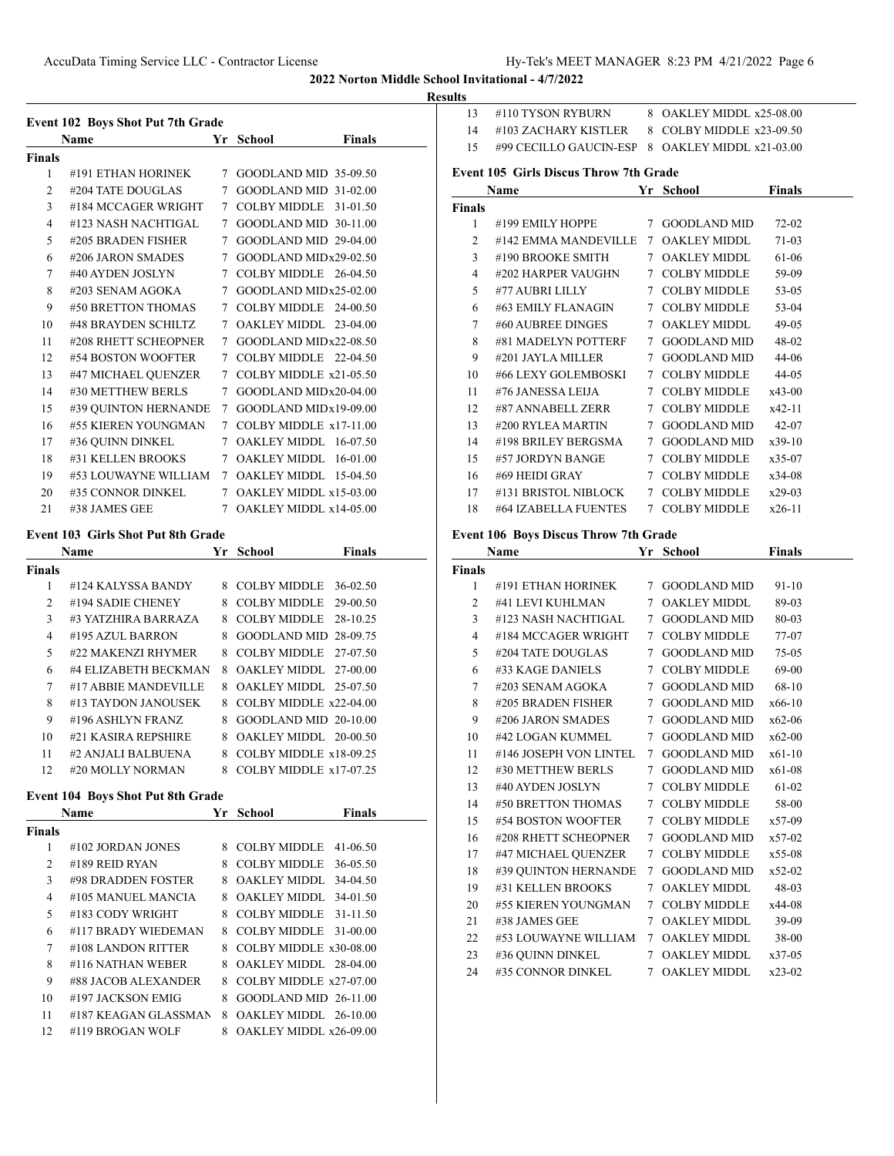**Results**

| <b>Event 102 Boys Shot Put 7th Grade</b> |                      |             |                                |  |  |
|------------------------------------------|----------------------|-------------|--------------------------------|--|--|
|                                          | <b>Name</b>          | Yr          | <b>Finals</b><br><b>School</b> |  |  |
| Finals                                   |                      |             |                                |  |  |
| 1                                        | #191 ETHAN HORINEK   | $\tau$      | GOODLAND MID 35-09.50          |  |  |
| $\mathfrak{D}$                           | #204 TATE DOUGLAS    | 7           | GOODLAND MID 31-02.00          |  |  |
| 3                                        | #184 MCCAGER WRIGHT  | 7           | COLBY MIDDLE<br>31-01.50       |  |  |
| 4                                        | #123 NASH NACHTIGAL  | 7           | GOODLAND MID 30-11.00          |  |  |
| 5                                        | #205 BRADEN FISHER   | 7           | GOODLAND MID 29-04.00          |  |  |
| 6                                        | #206 JARON SMADES    | $\tau$      | GOODLAND MIDx29-02.50          |  |  |
| 7                                        | #40 AYDEN JOSLYN     | 7           | COLBY MIDDLE 26-04.50          |  |  |
| 8                                        | #203 SENAM AGOKA     | 7           | GOODLAND MIDx25-02.00          |  |  |
| 9                                        | #50 BRETTON THOMAS   | 7           | COLBY MIDDLE 24-00.50          |  |  |
| 10                                       | #48 BRAYDEN SCHILTZ  | 7           | OAKLEY MIDDL 23-04.00          |  |  |
| 11                                       | #208 RHETT SCHEOPNER | 7           | GOODLAND MIDx22-08.50          |  |  |
| 12                                       | #54 BOSTON WOOFTER   | $\tau$      | COLBY MIDDLE 22-04.50          |  |  |
| 13                                       | #47 MICHAEL QUENZER  | 7           | COLBY MIDDLE x21-05.50         |  |  |
| 14                                       | #30 METTHEW BERLS    | 7           | GOODLAND MIDx20-04.00          |  |  |
| 15                                       | #39 QUINTON HERNANDE | 7           | GOODLAND MIDx19-09.00          |  |  |
| 16                                       | #55 KIEREN YOUNGMAN  | $\tau$      | COLBY MIDDLE $x17-11.00$       |  |  |
| 17                                       | #36 QUINN DINKEL     | 7           | OAKLEY MIDDL 16-07.50          |  |  |
| 18                                       | #31 KELLEN BROOKS    |             | 7 OAKLEY MIDDL<br>$16-01.00$   |  |  |
| 19                                       | #53 LOUWAYNE WILLIAM | $7^{\circ}$ | OAKLEY MIDDL 15-04.50          |  |  |
| 20                                       | #35 CONNOR DINKEL    |             | 7 OAKLEY MIDDL x15-03.00       |  |  |
| 21                                       | #38 JAMES GEE        | 7           | OAKLEY MIDDL x14-05.00         |  |  |
|                                          |                      |             |                                |  |  |

#### **Event 103 Girls Shot Put 8th Grade**

|               | <b>Name</b>          | Yr | School                   | <b>Finals</b> |
|---------------|----------------------|----|--------------------------|---------------|
| <b>Finals</b> |                      |    |                          |               |
| 1             | #124 KALYSSA BANDY   | 8  | <b>COLBY MIDDLE</b>      | 36-02.50      |
| 2             | #194 SADIE CHENEY    | 8  | <b>COLBY MIDDLE</b>      | 29-00.50      |
| 3             | #3 YATZHIRA BARRAZA  | 8  | <b>COLBY MIDDLE</b>      | 28-10.25      |
| 4             | #195 AZUL BARRON     | 8  | GOODLAND MID 28-09.75    |               |
| 5             | #22 MAKENZI RHYMER   | 8  | <b>COLBY MIDDLE</b>      | 27-07.50      |
| 6             | #4 ELIZABETH BECKMAN | 8  | OAKLEY MIDDL 27-00.00    |               |
| 7             | #17 ABBIE MANDEVILLE | 8  | $OAKLEY MIDDI. 25-07.50$ |               |
| 8             | #13 TAYDON JANOUSEK  | 8  | COLBY MIDDLE $x22-04.00$ |               |
| 9             | #196 ASHLYN FRANZ    | 8  | $GOODLAND MID$ 20-10.00  |               |
| 10            | #21 KASIRA REPSHIRE  | 8  | OAKLEY MIDDL 20-00.50    |               |
| 11            | #2 ANIALI BALBUENA   | 8  | COLBY MIDDLE x18-09.25   |               |
| 12            | #20 MOLLY NORMAN     | 8  | COLBY MIDDLE x17-07.25   |               |

# **Event 104 Boys Shot Put 8th Grade**

|               | <b>Name</b>          |    | <b>Finals</b><br>Yr School |  |
|---------------|----------------------|----|----------------------------|--|
| <b>Finals</b> |                      |    |                            |  |
| 1             | #102 JORDAN JONES    | 8. | $COLBY MIDDLE$ 41-06.50    |  |
| 2             | $#189$ REID RYAN     | 8  | COLBY MIDDLE<br>36-05.50   |  |
| 3             | #98 DRADDEN FOSTER   |    | 8 OAKLEY MIDDL 34-04.50    |  |
| 4             | #105 MANUEL MANCIA   |    | 8 OAKLEY MIDDL 34-01.50    |  |
| 5             | #183 CODY WRIGHT     |    | 8 COLBY MIDDLE 31-11.50    |  |
| 6             | #117 BRADY WIEDEMAN  | 8. | $COLBY MIDDLE 31-00.00$    |  |
| 7             | #108 LANDON RITTER   |    | 8 COLBY MIDDLE $x30-08.00$ |  |
| 8             | #116 NATHAN WEBER    |    | 8 OAKLEY MIDDL 28-04.00    |  |
| 9             | #88 JACOB ALEXANDER  | 8. | COLBY MIDDLE $x27-07.00$   |  |
| 10            | #197 JACKSON EMIG    | 8  | GOODLAND MID 26-11.00      |  |
| 11            | #187 KEAGAN GLASSMAN |    | 8 OAKLEY MIDDL 26-10.00    |  |
| 12            | #119 BROGAN WOLF     |    | 8 OAKLEY MIDDL x26-09.00   |  |

| 13  | #110 TYSON RYBURN                               | 8 OAKLEY MIDDL x25-08.00 |
|-----|-------------------------------------------------|--------------------------|
| 14  | #103 ZACHARY KISTLER                            | 8 COLBY MIDDLE x23-09.50 |
| 15. | #99 CECILLO GAUCIN-ESP 8 OAKLEY MIDDL x21-03.00 |                          |
|     |                                                 |                          |

## **Event 105 Girls Discus Throw 7th Grade**

|                | Name                 | Yr | School              | Finals    |  |
|----------------|----------------------|----|---------------------|-----------|--|
| Finals         |                      |    |                     |           |  |
| 1              | #199 EMILY HOPPE     | 7  | <b>GOODLAND MID</b> | $72 - 02$ |  |
| $\mathfrak{D}$ | #142 EMMA MANDEVILLE | 7  | OAKLEY MIDDL        | 71-03     |  |
| 3              | #190 BROOKE SMITH    | 7  | <b>OAKLEY MIDDL</b> | 61-06     |  |
| 4              | #202 HARPER VAUGHN   | 7  | <b>COLBY MIDDLE</b> | 59-09     |  |
| 5              | #77 AUBRI LILLY      | 7  | <b>COLBY MIDDLE</b> | 53-05     |  |
| 6              | #63 EMILY FLANAGIN   | 7  | <b>COLBY MIDDLE</b> | 53-04     |  |
| 7              | #60 AUBREE DINGES    | 7  | <b>OAKLEY MIDDL</b> | 49-05     |  |
| 8              | #81 MADELYN POTTERF  | 7  | <b>GOODLAND MID</b> | 48-02     |  |
| 9              | #201 JAYLA MILLER    | 7  | <b>GOODLAND MID</b> | 44-06     |  |
| 10             | #66 LEXY GOLEMBOSKI  | 7  | <b>COLBY MIDDLE</b> | 44-05     |  |
| 11             | #76 JANESSA LEIJA    | 7  | <b>COLBY MIDDLE</b> | $x43-00$  |  |
| 12             | #87 ANNABELL ZERR    | 7  | <b>COLBY MIDDLE</b> | $x42-11$  |  |
| 13             | #200 RYLEA MARTIN    | 7  | <b>GOODLAND MID</b> | 42-07     |  |
| 14             | #198 BRILEY BERGSMA  | 7  | <b>GOODLAND MID</b> | $x39-10$  |  |
| 15             | #57 JORDYN BANGE     | 7  | <b>COLBY MIDDLE</b> | x35-07    |  |
| 16             | #69 HEIDI GRAY       | 7  | <b>COLBY MIDDLE</b> | x34-08    |  |
| 17             | #131 BRISTOL NIBLOCK | 7  | <b>COLBY MIDDLE</b> | $x29-03$  |  |
| 18             | #64 IZABELLA FUENTES | 7  | <b>COLBY MIDDLE</b> | $x26-11$  |  |

## **Event 106 Boys Discus Throw 7th Grade**

|                | Name                   |                 | Yr School           | <b>Finals</b> |  |
|----------------|------------------------|-----------------|---------------------|---------------|--|
| Finals         |                        |                 |                     |               |  |
| 1              | #191 ETHAN HORINEK     |                 | 7 GOODLAND MID      | $91-10$       |  |
| 2              | #41 LEVI KUHLMAN       | $7^{\circ}$     | <b>OAKLEY MIDDL</b> | 89-03         |  |
| 3              | #123 NASH NACHTIGAL    | $7^{\circ}$     | <b>GOODLAND MID</b> | 80-03         |  |
| $\overline{4}$ | #184 MCCAGER WRIGHT    | $7^{\circ}$     | <b>COLBY MIDDLE</b> | 77-07         |  |
| 5              | #204 TATE DOUGLAS      |                 | 7 GOODLAND MID      | 75-05         |  |
| 6              | #33 KAGE DANIELS       |                 | 7 COLBY MIDDLE      | 69-00         |  |
| 7              | #203 SENAM AGOKA       |                 | 7 GOODLAND MID      | 68-10         |  |
| 8              | #205 BRADEN FISHER     | $7\overline{ }$ | <b>GOODLAND MID</b> | $x66-10$      |  |
| 9              | #206 JARON SMADES      | $7^{\circ}$     | <b>GOODLAND MID</b> | $x62-06$      |  |
| 10             | #42 LOGAN KUMMEL       | $7^{\circ}$     | <b>GOODLAND MID</b> | $x62-00$      |  |
| 11             | #146 JOSEPH VON LINTEL | $7\overline{ }$ | <b>GOODLAND MID</b> | $x61-10$      |  |
| 12             | #30 METTHEW BERLS      | $7\overline{ }$ | <b>GOODLAND MID</b> | $x61-08$      |  |
| 13             | #40 AYDEN JOSLYN       |                 | 7 COLBY MIDDLE      | $61-02$       |  |
| 14             | #50 BRETTON THOMAS     |                 | 7 COLBY MIDDLE      | 58-00         |  |
| 15             | #54 BOSTON WOOFTER     |                 | 7 COLBY MIDDLE      | $x57-09$      |  |
| 16             | #208 RHETT SCHEOPNER   | $7\phantom{0}$  | <b>GOODLAND MID</b> | $x57-02$      |  |
| 17             | #47 MICHAEL QUENZER    | $7\overline{ }$ | <b>COLBY MIDDLE</b> | $x55-08$      |  |
| 18             | #39 OUINTON HERNANDE   | $7\overline{ }$ | <b>GOODLAND MID</b> | $x52-02$      |  |
| 19             | #31 KELLEN BROOKS      | $7^{\circ}$     | <b>OAKLEY MIDDL</b> | 48-03         |  |
| 20             | #55 KIEREN YOUNGMAN    | $\tau$          | <b>COLBY MIDDLE</b> | x44-08        |  |
| 21             | #38 JAMES GEE          | 7               | <b>OAKLEY MIDDL</b> | 39-09         |  |
| 22             | #53 LOUWAYNE WILLIAM   |                 | 7 OAKLEY MIDDL      | 38-00         |  |
| 23             | #36 QUINN DINKEL       |                 | 7 OAKLEY MIDDL      | $x37-05$      |  |
| 24             | #35 CONNOR DINKEL      | $7^{\circ}$     | <b>OAKLEY MIDDL</b> | $x23-02$      |  |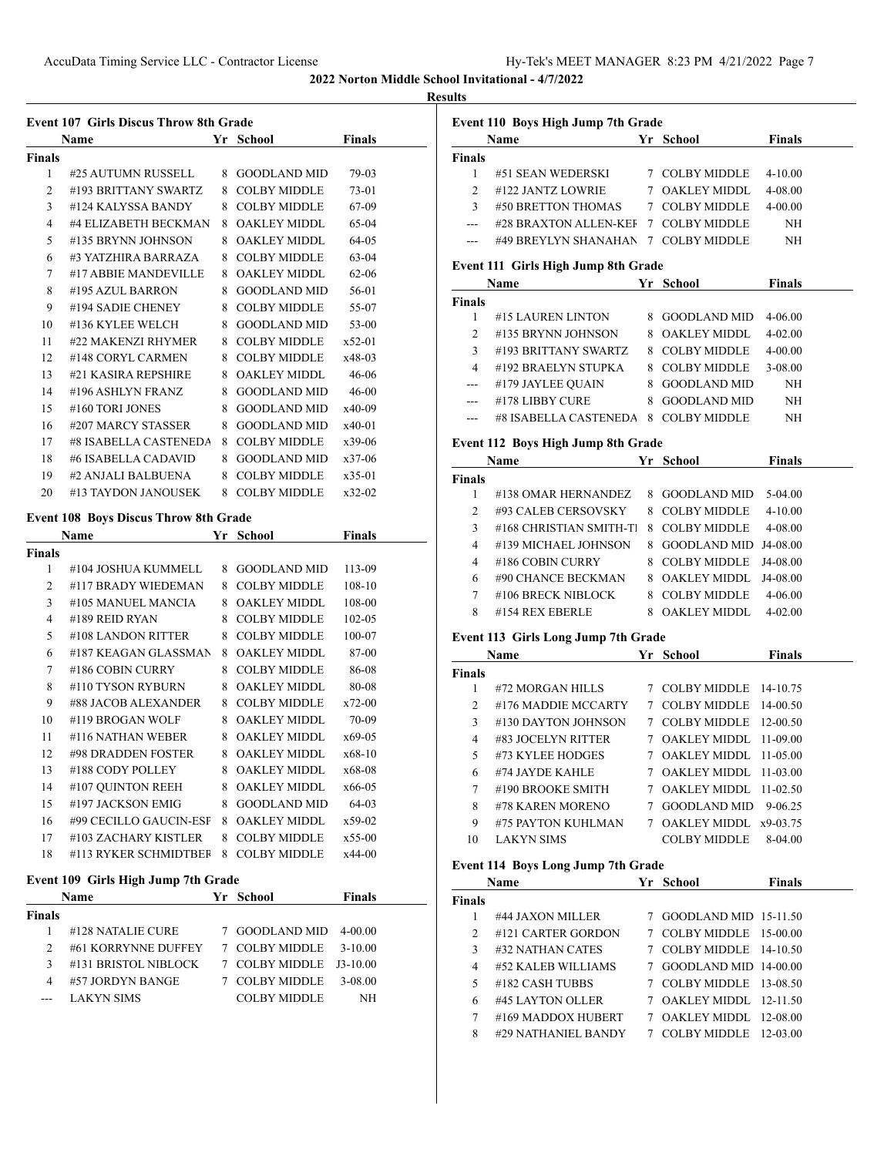## **Results**

|                     | <b>Event 107 Girls Discus Throw 8th Grade</b> |                                  |                 | <b>Event 1</b>                |
|---------------------|-----------------------------------------------|----------------------------------|-----------------|-------------------------------|
|                     | Name                                          | Yr School                        | <b>Finals</b>   |                               |
| <b>Finals</b><br>1  | #25 AUTUMN RUSSELL                            | 8 GOODLAND MID                   | 79-03           | Finals<br>1                   |
| 2                   | #193 BRITTANY SWARTZ                          | 8 COLBY MIDDLE                   | 73-01           | 2                             |
| 3                   | #124 KALYSSA BANDY                            | 8 COLBY MIDDLE                   | 67-09           | 3                             |
| $\overline{4}$      | #4 ELIZABETH BECKMAN                          | 8 OAKLEY MIDDL                   | 65-04           |                               |
| 5                   | #135 BRYNN JOHNSON                            | 8 OAKLEY MIDDL                   | 64-05           | ---                           |
| 6                   | #3 YATZHIRA BARRAZA                           | 8 COLBY MIDDLE                   | 63-04           |                               |
| 7                   | #17 ABBIE MANDEVILLE                          | 8 OAKLEY MIDDL                   | $62 - 06$       | Event 1                       |
| 8                   | #195 AZUL BARRON                              | 8 GOODLAND MID                   | 56-01           |                               |
| 9                   | #194 SADIE CHENEY                             | 8 COLBY MIDDLE                   | 55-07           | <b>Finals</b>                 |
| 10                  | #136 KYLEE WELCH                              | 8 GOODLAND MID                   | 53-00           | 1                             |
| 11                  | #22 MAKENZI RHYMER                            | 8 COLBY MIDDLE                   | $x52-01$        | $\mathbf{2}$                  |
| 12                  | #148 CORYL CARMEN                             | 8 COLBY MIDDLE                   | x48-03          | 3                             |
| 13                  | #21 KASIRA REPSHIRE                           | 8 OAKLEY MIDDL                   | $46 - 06$       | $\overline{4}$                |
| 14                  | #196 ASHLYN FRANZ                             | 8 GOODLAND MID                   | $46 - 00$       |                               |
| 15                  | #160 TORI JONES                               | 8 GOODLAND MID                   | x40-09          |                               |
| 16                  | #207 MARCY STASSER                            | 8 GOODLAND MID                   | x40-01          |                               |
| 17                  | #8 ISABELLA CASTENEDA                         | 8 COLBY MIDDLE                   | x39-06          | <b>Event 1</b>                |
| 18                  | #6 ISABELLA CADAVID                           | 8 GOODLAND MID                   | $x37-06$        |                               |
| 19                  | #2 ANJALI BALBUENA                            | 8 COLBY MIDDLE                   | $x35-01$        | Finals                        |
| 20                  | #13 TAYDON JANOUSEK                           | 8 COLBY MIDDLE                   | $x32-02$        | 1                             |
|                     |                                               |                                  |                 | $\mathbf{2}$                  |
|                     | Event 108 Boys Discus Throw 8th Grade         |                                  |                 | 3                             |
|                     | Name                                          | Yr School                        | <b>Finals</b>   | $\overline{4}$                |
| <b>Finals</b>       |                                               |                                  |                 | 4                             |
| $\mathbf{1}$        | #104 JOSHUA KUMMELL                           | 8 GOODLAND MID                   | 113-09          | 6                             |
| $\overline{c}$      | #117 BRADY WIEDEMAN                           | 8 COLBY MIDDLE                   | 108-10          | 7                             |
| 3<br>$\overline{4}$ | #105 MANUEL MANCIA                            | 8 OAKLEY MIDDL                   | 108-00          | 8                             |
|                     | #189 REID RYAN                                | 8 COLBY MIDDLE                   | 102-05          |                               |
| 5<br>6              | #108 LANDON RITTER<br>#187 KEAGAN GLASSMAN    | 8 COLBY MIDDLE                   | 100-07<br>87-00 | Event 1                       |
| 7                   | #186 COBIN CURRY                              | 8 OAKLEY MIDDL<br>8 COLBY MIDDLE | 86-08           |                               |
| 8                   | #110 TYSON RYBURN                             | 8 OAKLEY MIDDL                   | 80-08           | Finals                        |
| 9                   | #88 JACOB ALEXANDER                           | 8 COLBY MIDDLE                   | $x72-00$        | 1                             |
| 10                  | #119 BROGAN WOLF                              | 8 OAKLEY MIDDL                   | 70-09           | 2                             |
| 11                  | #116 NATHAN WEBER                             | 8 OAKLEY MIDDL                   | $x69-05$        | 3                             |
| 12                  | #98 DRADDEN FOSTER                            | 8 OAKLEY MIDDL x68-10            |                 | $\overline{4}$                |
| 13                  | #188 CODY POLLEY                              | 8 OAKLEY MIDDL                   | x68-08          | 5                             |
| 14                  | #107 QUINTON REEH                             | 8 OAKLEY MIDDL                   | x66-05          | 6<br>$\overline{\mathcal{I}}$ |
| 15                  | #197 JACKSON EMIG                             | 8 GOODLAND MID                   | 64-03           | 8                             |
| 16                  | #99 CECILLO GAUCIN-ESF                        | 8 OAKLEY MIDDL                   | x59-02          | 9                             |
| 17                  | #103 ZACHARY KISTLER                          | 8 COLBY MIDDLE                   | $x55-00$        |                               |
| 18                  | #113 RYKER SCHMIDTBEF                         | 8 COLBY MIDDLE                   | x44-00          | 10                            |
|                     |                                               |                                  |                 | <b>Event 1</b>                |
|                     | Event 109 Girls High Jump 7th Grade           |                                  |                 |                               |
|                     | Name                                          | Yr School                        | Finals          | Finals                        |
| <b>Finals</b>       |                                               |                                  |                 | 1                             |
| 1                   | #128 NATALIE CURE                             | 7 GOODLAND MID                   | $4 - 00.00$     | 2                             |
| 2                   | #61 KORRYNNE DUFFEY                           | 7 COLBY MIDDLE                   | $3-10.00$       | 3                             |
| 3                   | #131 BRISTOL NIBLOCK                          | 7 COLBY MIDDLE                   | $J3-10.00$      | $\overline{4}$                |
| 4                   | #57 JORDYN BANGE                              | 7 COLBY MIDDLE                   | 3-08.00         | 5                             |
| $--$                | <b>LAKYN SIMS</b>                             | <b>COLBY MIDDLE</b>              | NH              | $\boldsymbol{6}$              |
|                     |                                               |                                  |                 | 7                             |
|                     |                                               |                                  |                 |                               |
|                     |                                               |                                  |                 | 8                             |

| ПS               |                                                                                                                                                                                                                                |                                          |               |
|------------------|--------------------------------------------------------------------------------------------------------------------------------------------------------------------------------------------------------------------------------|------------------------------------------|---------------|
|                  | Event 110 Boys High Jump 7th Grade                                                                                                                                                                                             |                                          |               |
|                  | Name Yr School                                                                                                                                                                                                                 |                                          | Finals        |
| Finals           |                                                                                                                                                                                                                                |                                          |               |
| $\mathbf{1}$     | #51 SEAN WEDERSKI                                                                                                                                                                                                              | 7 COLBY MIDDLE                           | $4 - 10.00$   |
| $\overline{2}$   | #122 JANTZ LOWRIE                                                                                                                                                                                                              | 7 OAKLEY MIDDL                           | 4-08.00       |
| $\mathfrak{Z}$   | #50 BRETTON THOMAS                                                                                                                                                                                                             | 7 COLBY MIDDLE                           | $4 - 00.00$   |
|                  | --- #28 BRAXTON ALLEN-KEI 7 COLBY MIDDLE                                                                                                                                                                                       |                                          | NH            |
| ---              | #49 BREYLYN SHANAHAN 7 COLBY MIDDLE                                                                                                                                                                                            |                                          | NH            |
|                  | Event 111 Girls High Jump 8th Grade                                                                                                                                                                                            |                                          |               |
|                  | Name Yr School                                                                                                                                                                                                                 |                                          | <b>Finals</b> |
| Finals           |                                                                                                                                                                                                                                |                                          |               |
| 1                | #15 LAUREN LINTON                                                                                                                                                                                                              | 8 GOODLAND MID                           | 4-06.00       |
| $\overline{c}$   | $\#135$ BRYNN JOHNSON                                                                                                                                                                                                          | 8 OAKLEY MIDDL                           | $4 - 02.00$   |
|                  |                                                                                                                                                                                                                                |                                          | 4-00.00       |
|                  | 4 #193 BRITTANY SWARTZ 8 COLBY MIDDLE<br>4 #192 BRAELYN STUPKA 8 COLBY MIDDLE<br>4 #179 JAYLEE QUAIN 8 GOODLAND MID                                                                                                            |                                          | 3-08.00       |
|                  |                                                                                                                                                                                                                                |                                          | NH            |
|                  | --- #178 LIBBY CURE                                                                                                                                                                                                            | 8 GOODLAND MID                           | NH            |
|                  | --- #8 ISABELLA CASTENEDA 8 COLBY MIDDLE                                                                                                                                                                                       |                                          | NH            |
|                  | Event 112 Boys High Jump 8th Grade                                                                                                                                                                                             |                                          |               |
|                  | Name <b>School School Finals</b>                                                                                                                                                                                               |                                          |               |
| Finals           |                                                                                                                                                                                                                                |                                          |               |
| 1                | #138 OMAR HERNANDEZ                                                                                                                                                                                                            | 8 GOODLAND MID 5-04.00                   |               |
| $\overline{c}$   | #93 CALEB CERSOVSKY                                                                                                                                                                                                            | 8 COLBY MIDDLE 4-10.00                   |               |
| 3                | #168 CHRISTIAN SMITH-T]                                                                                                                                                                                                        | 8 COLBY MIDDLE                           | 4-08.00       |
| $\overline{4}$   | #139 MICHAEL JOHNSON                                                                                                                                                                                                           | 8 GOODLAND MID J4-08.00                  |               |
| $\overline{4}$   | #186 COBIN CURRY                                                                                                                                                                                                               | 8 COLBY MIDDLE                           | J4-08.00      |
|                  |                                                                                                                                                                                                                                |                                          |               |
| 6                | #90 CHANCE BECKMAN                                                                                                                                                                                                             | 8 OAKLEY MIDDL                           | J4-08.00      |
| 7<br>8           | #106 BRECK NIBLOCK<br>#154 REX EBERLE                                                                                                                                                                                          | 8 COLBY MIDDLE 4-06.00<br>8 OAKLEY MIDDL | $4 - 02.00$   |
|                  |                                                                                                                                                                                                                                |                                          |               |
|                  | <b>Event 113 Girls Long Jump 7th Grade</b>                                                                                                                                                                                     |                                          |               |
|                  | <b>Name</b>                                                                                                                                                                                                                    | Yr School                                | Finals        |
| Finals           | #72 MORGAN HILLS 7 COLBY MIDDLE 14-10.75                                                                                                                                                                                       |                                          |               |
| $1 \quad$        | 2 #176 MADDIE MCCARTY 7 COLBY MIDDLE 14-00.50                                                                                                                                                                                  |                                          |               |
|                  |                                                                                                                                                                                                                                |                                          |               |
| 3                | #130 DAYTON JOHNSON 7 COLBY MIDDLE 12-00.50                                                                                                                                                                                    |                                          |               |
| $\overline{4}$   | #83 JOCELYN RITTER                                                                                                                                                                                                             | 7 OAKLEY MIDDL                           | 11-09.00      |
| 5                | #73 KYLEE HODGES                                                                                                                                                                                                               | 7 OAKLEY MIDDL                           | 11-05.00      |
| 6                | #74 JAYDE KAHLE                                                                                                                                                                                                                | 7 OAKLEY MIDDL                           | 11-03.00      |
| 7                | #190 BROOKE SMITH                                                                                                                                                                                                              | 7 OAKLEY MIDDL 11-02.50                  |               |
| 8                | #78 KAREN MORENO                                                                                                                                                                                                               | 7 GOODLAND MID 9-06.25                   |               |
| 9                | #75 PAYTON KUHLMAN                                                                                                                                                                                                             | 7 OAKLEY MIDDL x9-03.75                  |               |
| 10               | <b>LAKYN SIMS</b>                                                                                                                                                                                                              | <b>COLBY MIDDLE</b>                      | 8-04.00       |
|                  | <b>Event 114 Boys Long Jump 7th Grade</b>                                                                                                                                                                                      |                                          |               |
|                  | Name Manual State Street and Street and Street and Street and Street and Street and Street and Street and Street and Street and Street and Street and Street and Street and Street and Street and Street and Street and Street | Yr School                                | <b>Finals</b> |
| Finals           |                                                                                                                                                                                                                                |                                          |               |
| 1                | #44 JAXON MILLER                                                                                                                                                                                                               | 7 GOODLAND MID 15-11.50                  |               |
| $\overline{c}$   | #121 CARTER GORDON                                                                                                                                                                                                             | 7 COLBY MIDDLE 15-00.00                  |               |
| 3                | #32 NATHAN CATES                                                                                                                                                                                                               | 7 COLBY MIDDLE 14-10.50                  |               |
| 4                | #52 KALEB WILLIAMS                                                                                                                                                                                                             | 7 GOODLAND MID 14-00.00                  |               |
| 5                | #182 CASH TUBBS                                                                                                                                                                                                                | 7 COLBY MIDDLE 13-08.50                  |               |
| $\boldsymbol{6}$ | #45 LAYTON OLLER                                                                                                                                                                                                               | 7 OAKLEY MIDDL 12-11.50                  |               |
| 7                | #169 MADDOX HUBERT                                                                                                                                                                                                             | 7 OAKLEY MIDDL 12-08.00                  |               |
| 8                | #29 NATHANIEL BANDY                                                                                                                                                                                                            | 7 COLBY MIDDLE                           | 12-03.00      |
|                  |                                                                                                                                                                                                                                |                                          |               |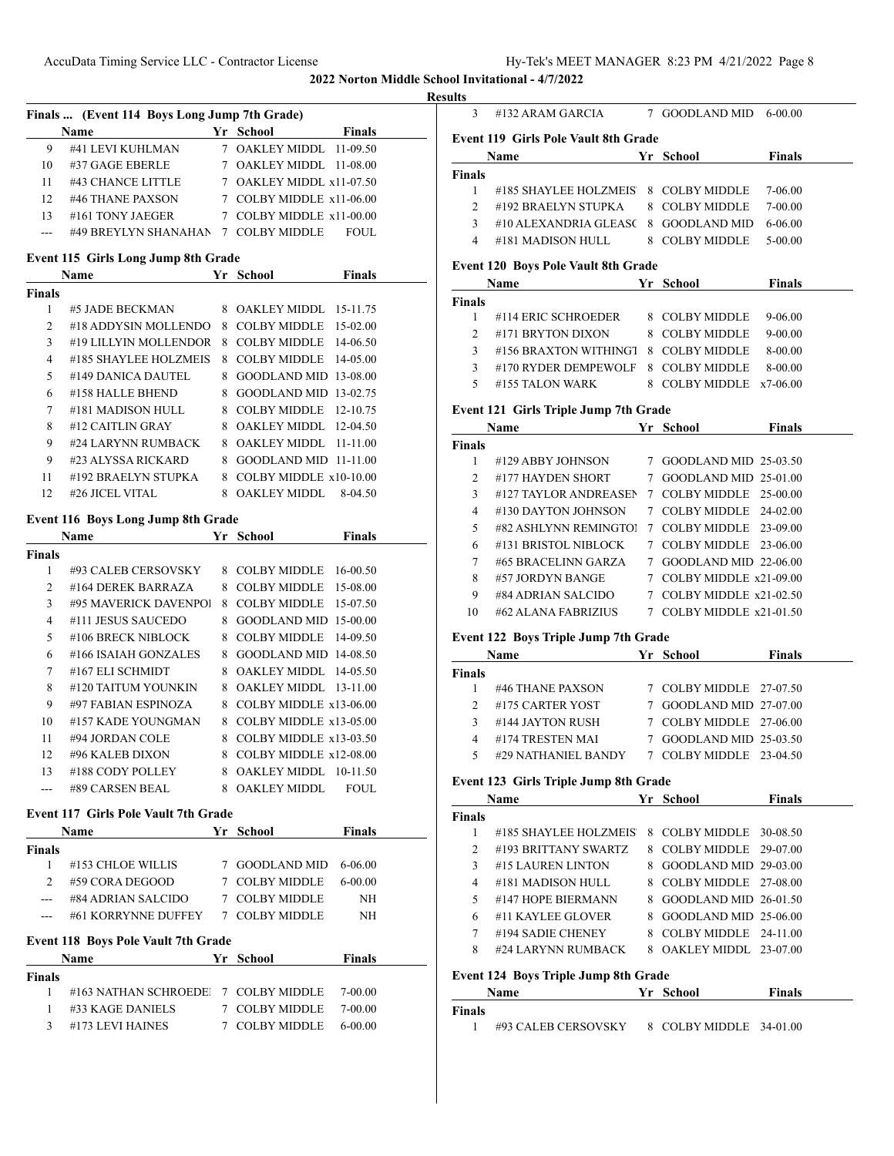## **Result**

| Finals  (Event 114 Boys Long Jump 7th Grade) |                        |  |                          |               |  |
|----------------------------------------------|------------------------|--|--------------------------|---------------|--|
|                                              | <b>Name</b>            |  | Yr School                | <b>Finals</b> |  |
| 9                                            | #41 LEVI KUHLMAN       |  | 7 OAKLEY MIDDL 11-09.50  |               |  |
| 10                                           | #37 GAGE EBERLE        |  | 7 OAKLEY MIDDL 11-08.00  |               |  |
| 11                                           | #43 CHANCE LITTLE      |  | 7 OAKLEY MIDDL x11-07.50 |               |  |
| 12                                           | #46 THANE PAXSON       |  | 7 COLBY MIDDLE x11-06.00 |               |  |
| 13                                           | #161 TONY JAEGER       |  | 7 COLBY MIDDLE x11-00.00 |               |  |
|                                              | #49 BREYLYN SHANAHAN 7 |  | COLBY MIDDLE             | FOUL.         |  |

# **Event 115 Girls Long Jump 8th Grade**

|               | <b>Name</b>           |    | Yr School                | <b>Finals</b> |
|---------------|-----------------------|----|--------------------------|---------------|
| <b>Finals</b> |                       |    |                          |               |
| 1             | #5 JADE BECKMAN       | 8  | OAKLEY MIDDL 15-11.75    |               |
| 2             | #18 ADDYSIN MOLLENDO  | 8  | <b>COLBY MIDDLE</b>      | $15-02.00$    |
| 3             | #19 LILLYIN MOLLENDOR | 8  | COLBY MIDDLE             | 14-06.50      |
| 4             | #185 SHAYLEE HOLZMEIS | 8  | COLBY MIDDLE             | 14-05.00      |
| 5             | #149 DANICA DAUTEL    | 8  | GOODLAND MID 13-08.00    |               |
| 6             | #158 HALLE BHEND      | 8  | GOODLAND MID 13-02.75    |               |
| 7             | #181 MADISON HULL     | 8. | $COLBY MIDDLE$ 12-10.75  |               |
| 8             | #12 CAITLIN GRAY      | 8  | OAKLEY MIDDL 12-04.50    |               |
| 9             | #24 LARYNN RUMBACK    | 8  | OAKLEY MIDDL 11-11.00    |               |
| 9             | #23 ALYSSA RICKARD    | 8  | $GOODLAND MID$ 11-11.00  |               |
| 11            | #192 BRAELYN STUPKA   | 8  | COLBY MIDDLE $x10-10.00$ |               |
| 12            | #26 JICEL VITAL       |    | OAKLEY MIDDL             | 8-04.50       |

## **Event 116 Boys Long Jump 8th Grade**

|               | Name                  | Yr | School                   | Finals     |
|---------------|-----------------------|----|--------------------------|------------|
| <b>Finals</b> |                       |    |                          |            |
| 1             | #93 CALEB CERSOVSKY   | 8  | <b>COLBY MIDDLE</b>      | 16-00.50   |
| 2             | #164 DEREK BARRAZA    | 8  | <b>COLBY MIDDLE</b>      | 15-08.00   |
| 3             | #95 MAVERICK DAVENPOL | 8  | <b>COLBY MIDDLE</b>      | 15-07.50   |
| 4             | #111 JESUS SAUCEDO    | 8  | <b>GOODLAND MID</b>      | $15-00.00$ |
| 5             | #106 BRECK NIBLOCK    | 8  | <b>COLBY MIDDLE</b>      | 14-09.50   |
| 6             | #166 ISAIAH GONZALES  | 8  | $GOODLAND MID$ 14-08.50  |            |
| 7             | #167 ELI SCHMIDT      | 8  | OAKLEY MIDDL             | 14-05.50   |
| 8             | #120 TAITUM YOUNKIN   | 8  | OAKLEY MIDDL 13-11.00    |            |
| 9             | #97 FABIAN ESPINOZA   | 8  | COLBY MIDDLE x13-06.00   |            |
| 10            | #157 KADE YOUNGMAN    | 8  | COLBY MIDDLE $x13-05.00$ |            |
| 11            | #94 JORDAN COLE       | 8  | COLBY MIDDLE $x13-03.50$ |            |
| 12            | #96 KALEB DIXON       | 8  | COLBY MIDDLE x12-08.00   |            |
| 13            | #188 CODY POLLEY      | 8  | OAKLEY MIDDL             | $10-11.50$ |
|               | #89 CARSEN BEAL       | 8  | <b>OAKLEY MIDDL</b>      | FOUL.      |

## **Event 117 Girls Pole Vault 7th Grade**

|                | Name                                       |   | Yr School           | <b>Finals</b> |  |
|----------------|--------------------------------------------|---|---------------------|---------------|--|
| Finals         |                                            |   |                     |               |  |
| 1              | #153 CHLOE WILLIS                          |   | <b>GOODLAND MID</b> | 6-06.00       |  |
| $\mathfrak{D}$ | #59 CORA DEGOOD                            |   | <b>COLBY MIDDLE</b> | $6 - 00.00$   |  |
|                | #84 ADRIAN SALCIDO                         |   | <b>COLBY MIDDLE</b> | NH            |  |
|                | #61 KORRYNNE DUFFEY                        | 7 | COLBY MIDDLE        | <b>NH</b>     |  |
|                | <b>Event 118 Boys Pole Vault 7th Grade</b> |   |                     |               |  |
|                | <b>Name</b>                                |   | Yr School           | <b>Finals</b> |  |
| Finals         |                                            |   |                     |               |  |

1 #163 NATHAN SCHROEDE<br/>lCOLBY MIDDLE  $7-00.00$ 1 #33 KAGE DANIELS 7 COLBY MIDDLE 7-00.00 #173 LEVI HAINES 7 COLBY MIDDLE 6-00.00

| ults                                 |                                                                   |  |                          |               |  |
|--------------------------------------|-------------------------------------------------------------------|--|--------------------------|---------------|--|
| 3                                    | #132 ARAM GARCIA 7 GOODLAND MID 6-00.00                           |  |                          |               |  |
|                                      | <b>Event 119 Girls Pole Vault 8th Grade</b>                       |  |                          |               |  |
|                                      | <b>Name</b>                                                       |  | Yr School                | Finals        |  |
| <b>Finals</b>                        |                                                                   |  |                          |               |  |
| 1                                    | #185 SHAYLEE HOLZMEIS                                             |  | 8 COLBY MIDDLE           | 7-06.00       |  |
| $\overline{2}$                       | #192 BRAELYN STUPKA                                               |  | 8 COLBY MIDDLE           | $7 - 00.00$   |  |
| 3                                    | #10 ALEXANDRIA GLEASC                                             |  | 8 GOODLAND MID           | 6-06.00       |  |
| 4                                    | #181 MADISON HULL                                                 |  | 8 COLBY MIDDLE           | 5-00.00       |  |
|                                      | <b>Event 120 Boys Pole Vault 8th Grade</b>                        |  |                          |               |  |
|                                      | Name Yr School                                                    |  |                          | <b>Finals</b> |  |
| <b>Finals</b>                        |                                                                   |  |                          |               |  |
| $\mathbf{1}$                         | #114 ERIC SCHROEDER                                               |  | 8 COLBY MIDDLE           | 9-06.00       |  |
| $\overline{2}$                       | #171 BRYTON DIXON                                                 |  | 8 COLBY MIDDLE           | $9 - 00.00$   |  |
| 3                                    | #156 BRAXTON WITHINGT                                             |  | 8 COLBY MIDDLE           | 8-00.00       |  |
| 3                                    | #170 RYDER DEMPEWOLF 8 COLBY MIDDLE                               |  |                          | 8-00.00       |  |
| 5                                    | #155 TALON WARK                                                   |  | 8 COLBY MIDDLE x7-06.00  |               |  |
|                                      |                                                                   |  |                          |               |  |
|                                      | Event 121 Girls Triple Jump 7th Grade                             |  |                          |               |  |
|                                      | Name                                                              |  | Yr School                | <b>Finals</b> |  |
| <b>Finals</b><br>1                   | #129 ABBY JOHNSON                                                 |  | 7 GOODLAND MID 25-03.50  |               |  |
| 2                                    | #177 HAYDEN SHORT                                                 |  | 7 GOODLAND MID 25-01.00  |               |  |
| 3                                    | #127 TAYLOR ANDREASEN                                             |  | 7 COLBY MIDDLE 25-00.00  |               |  |
| 4                                    | #130 DAYTON JOHNSON                                               |  | 7 COLBY MIDDLE 24-02.00  |               |  |
| 5                                    | #82 ASHLYNN REMINGTOI                                             |  | 7 COLBY MIDDLE 23-09.00  |               |  |
| 6                                    | #131 BRISTOL NIBLOCK                                              |  | 7 COLBY MIDDLE 23-06.00  |               |  |
| 7                                    | #65 BRACELINN GARZA                                               |  | 7 GOODLAND MID 22-06.00  |               |  |
| 8                                    | #57 JORDYN BANGE                                                  |  | 7 COLBY MIDDLE x21-09.00 |               |  |
| 9                                    | #84 ADRIAN SALCIDO                                                |  | 7 COLBY MIDDLE x21-02.50 |               |  |
| 10                                   | #62 ALANA FABRIZIUS 7 COLBY MIDDLE x21-01.50                      |  |                          |               |  |
|                                      |                                                                   |  |                          |               |  |
| Event 122 Boys Triple Jump 7th Grade |                                                                   |  |                          |               |  |
|                                      | <b>Name</b>                                                       |  | Yr School                | <b>Finals</b> |  |
| Finals                               |                                                                   |  |                          |               |  |
| 1                                    | #46 THANE PAXSON                                                  |  | 7 COLBY MIDDLE 27-07.50  |               |  |
| 2                                    | #175 CARTER YOST                                                  |  | 7 GOODLAND MID 27-07.00  |               |  |
| 3                                    | #144 JAYTON RUSH                                                  |  | 7 COLBY MIDDLE 27-06.00  |               |  |
| 5                                    | 4 #174 TRESTEN MAI<br>#29 NATHANIEL BANDY 7 COLBY MIDDLE 23-04.50 |  | 7 GOODLAND MID 25-03.50  |               |  |
|                                      |                                                                   |  |                          |               |  |
|                                      | Event 123 Girls Triple Jump 8th Grade                             |  |                          |               |  |
|                                      | Name                                                              |  | Yr School                | <b>Finals</b> |  |
| <b>Finals</b>                        |                                                                   |  |                          |               |  |
| 1                                    | #185 SHAYLEE HOLZMEIS                                             |  | 8 COLBY MIDDLE 30-08.50  |               |  |
| 2                                    | #193 BRITTANY SWARTZ                                              |  | 8 COLBY MIDDLE 29-07.00  |               |  |
| 3                                    | #15 LAUREN LINTON                                                 |  | 8 GOODLAND MID 29-03.00  |               |  |
| 4                                    | #181 MADISON HULL                                                 |  | 8 COLBY MIDDLE 27-08.00  |               |  |
| 5                                    | #147 HOPE BIERMANN                                                |  | 8 GOODLAND MID 26-01.50  |               |  |
| 6                                    | #11 KAYLEE GLOVER                                                 |  | 8 GOODLAND MID 25-06.00  |               |  |
| 7                                    | #194 SADIE CHENEY                                                 |  | 8 COLBY MIDDLE 24-11.00  |               |  |
| 8                                    | #24 LARYNN RUMBACK                                                |  | 8 OAKLEY MIDDL 23-07.00  |               |  |
| Event 124 Boys Triple Jump 8th Grade |                                                                   |  |                          |               |  |
|                                      | <b>Name School Vr School</b>                                      |  |                          | <b>Finals</b> |  |
| Finals                               |                                                                   |  |                          |               |  |

#93 CALEB CERSOVSKY 8 COLBY MIDDLE 34-01.00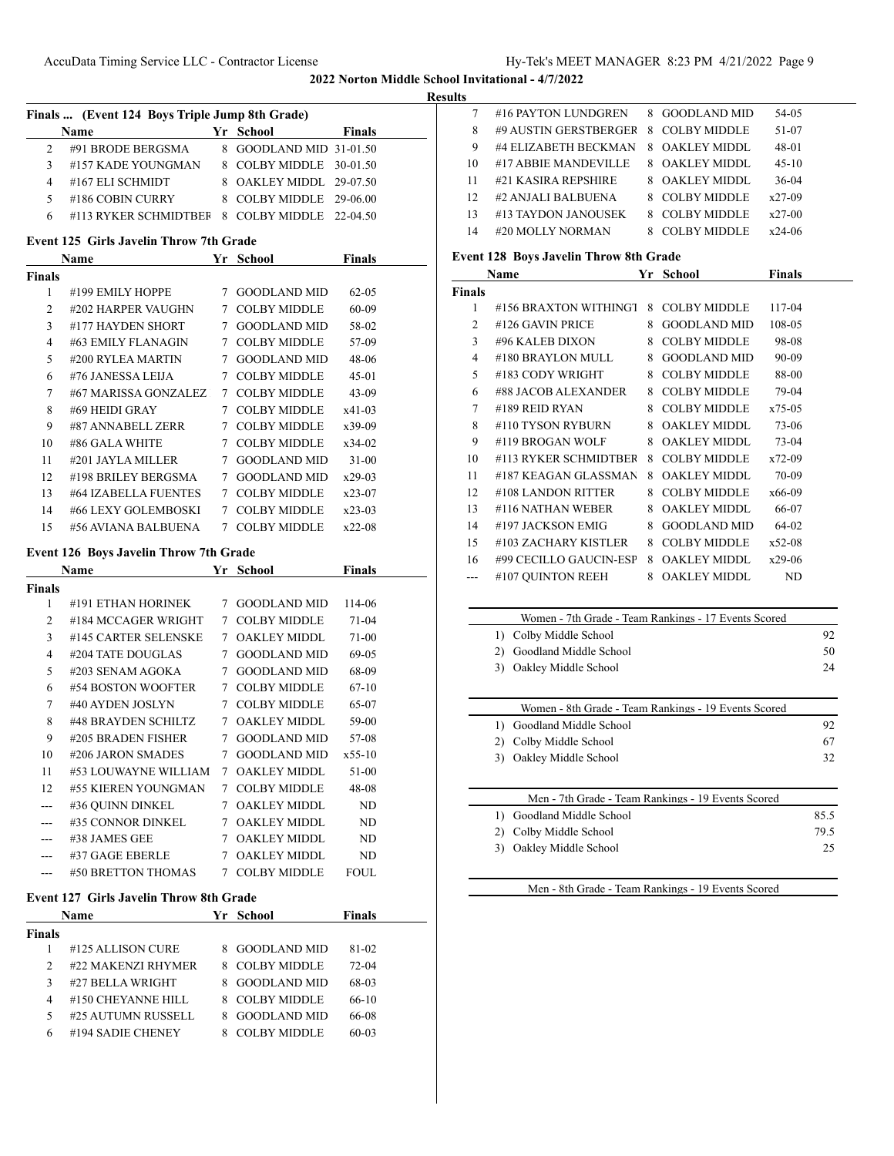## **Results**

 $\overline{\phantom{0}}$ 

 $\overline{\phantom{0}}$ 

| Finals  (Event 124 Boys Triple Jump 8th Grade) |                                               |  |                         |               |  |  |
|------------------------------------------------|-----------------------------------------------|--|-------------------------|---------------|--|--|
|                                                | Name                                          |  | Yr School               | <b>Finals</b> |  |  |
|                                                | #91 BRODE BERGSMA                             |  | 8 GOODLAND MID 31-01.50 |               |  |  |
| ٩                                              | #157 KADE YOUNGMAN                            |  | 8 COLBY MIDDLE 30-01.50 |               |  |  |
| 4                                              | #167 ELI SCHMIDT                              |  | 8 OAKLEY MIDDL 29-07.50 |               |  |  |
| 5                                              | #186 COBIN CURRY                              |  | 8 COLBY MIDDLE 29-06.00 |               |  |  |
| 6                                              | #113 RYKER SCHMIDTBER 8 COLBY MIDDLE 22-04.50 |  |                         |               |  |  |
|                                                |                                               |  |                         |               |  |  |

# **Event 125 Girls Javelin Throw 7th Grade**

| Name          |                      | Yr | <b>School</b>       | <b>Finals</b> |  |
|---------------|----------------------|----|---------------------|---------------|--|
| <b>Finals</b> |                      |    |                     |               |  |
| 1             | #199 EMILY HOPPE     | 7  | <b>GOODLAND MID</b> | $62 - 0.5$    |  |
| 2             | #202 HARPER VAUGHN   | 7  | <b>COLBY MIDDLE</b> | 60-09         |  |
| 3             | #177 HAYDEN SHORT    | 7  | <b>GOODLAND MID</b> | 58-02         |  |
| 4             | #63 EMILY FLANAGIN   | 7  | <b>COLBY MIDDLE</b> | 57-09         |  |
| 5             | #200 RYLEA MARTIN    | 7  | <b>GOODLAND MID</b> | 48-06         |  |
| 6             | #76 JANESSA LEIJA    | 7  | <b>COLBY MIDDLE</b> | $45-01$       |  |
| 7             | #67 MARISSA GONZALEZ | 7  | <b>COLBY MIDDLE</b> | $43-09$       |  |
| 8             | #69 HEIDI GRAY       | 7  | <b>COLBY MIDDLE</b> | x41-03        |  |
| 9             | #87 ANNABELL ZERR    | 7  | <b>COLBY MIDDLE</b> | $x39-09$      |  |
| 10            | #86 GALA WHITE       | 7  | <b>COLBY MIDDLE</b> | $x34-02$      |  |
| 11            | #201 JAYLA MILLER    | 7  | <b>GOODLAND MID</b> | $31 - 00$     |  |
| 12            | #198 BRILEY BERGSMA  | 7  | <b>GOODLAND MID</b> | $x29-03$      |  |
| 13            | #64 IZABELLA FUENTES | 7  | <b>COLBY MIDDLE</b> | $x23-07$      |  |
| 14            | #66 LEXY GOLEMBOSKI  | 7  | <b>COLBY MIDDLE</b> | $x23-03$      |  |
| 15            | #56 AVIANA BALBUENA  | 7  | <b>COLBY MIDDLE</b> | $x22-08$      |  |

# **Event 126 Boys Javelin Throw 7th Grade**

| Name   |                      | Yr | School              | Finals    |  |
|--------|----------------------|----|---------------------|-----------|--|
| Finals |                      |    |                     |           |  |
| 1      | #191 ETHAN HORINEK   | 7  | <b>GOODLAND MID</b> | 114-06    |  |
| 2      | #184 MCCAGER WRIGHT  | 7  | <b>COLBY MIDDLE</b> | 71-04     |  |
| 3      | #145 CARTER SELENSKE | 7  | <b>OAKLEY MIDDL</b> | 71-00     |  |
| 4      | #204 TATE DOUGLAS    |    | <b>GOODLAND MID</b> | 69-05     |  |
| 5      | #203 SENAM AGOKA     |    | <b>GOODLAND MID</b> | 68-09     |  |
| 6      | #54 BOSTON WOOFTER   |    | <b>COLBY MIDDLE</b> | $67-10$   |  |
| 7      | #40 AYDEN JOSLYN     | 7  | <b>COLBY MIDDLE</b> | 65-07     |  |
| 8      | #48 BRAYDEN SCHILTZ  | 7  | OAKLEY MIDDL        | 59-00     |  |
| 9      | #205 BRADEN FISHER   |    | <b>GOODLAND MID</b> | 57-08     |  |
| 10     | #206 JARON SMADES    | 7  | <b>GOODLAND MID</b> | $x$ 55-10 |  |
| 11     | #53 LOUWAYNE WILLIAM | 7  | OAKLEY MIDDL        | $51-00$   |  |
| 12     | #55 KIEREN YOUNGMAN  | 7  | <b>COLBY MIDDLE</b> | 48-08     |  |
|        | #36 QUINN DINKEL     | 7  | OAKLEY MIDDL        | ND.       |  |
|        | #35 CONNOR DINKEL    | 7  | <b>OAKLEY MIDDL</b> | ND        |  |
|        | #38 JAMES GEE        |    | OAKLEY MIDDL        | ND        |  |
|        | $\#37$ GAGE EBERLE   | 7  | OAKLEY MIDDL        | ND.       |  |
|        | #50 BRETTON THOMAS   | 7  | <b>COLBY MIDDLE</b> | FOUL.     |  |

#### **Event 127 Girls Javelin Throw 8th Grade**

| Name   |                    |    | Yr School           | <b>Finals</b> |  |
|--------|--------------------|----|---------------------|---------------|--|
| Finals |                    |    |                     |               |  |
|        | #125 ALLISON CURE  |    | <b>GOODLAND MID</b> | 81-02         |  |
| 2      | #22 MAKENZI RHYMER | 8. | COLBY MIDDLE        | $72-04$       |  |
| 3      | #27 BELLA WRIGHT   |    | <b>GOODLAND MID</b> | 68-03         |  |
| 4      | #150 CHEYANNE HILL | 8  | <b>COLBY MIDDLE</b> | $66-10$       |  |
| 5      | #25 AUTUMN RUSSELL |    | <b>GOODLAND MID</b> | 66-08         |  |
| 6      | #194 SADIE CHENEY  |    | COLBY MIDDLE        | 60-03         |  |
|        |                    |    |                     |               |  |

|    | #16 PAYTON LUNDGREN   |    | 8 GOODLAND MID | 54-05    |  |
|----|-----------------------|----|----------------|----------|--|
| 8  | #9 AUSTIN GERSTBERGER |    | 8 COLBY MIDDLE | 51-07    |  |
| 9  | #4 ELIZABETH BECKMAN  |    | 8 OAKLEY MIDDL | 48-01    |  |
| 10 | #17 ABBIE MANDEVILLE  |    | 8 OAKLEY MIDDL | $45-10$  |  |
| 11 | #21 KASIRA REPSHIRE   |    | 8 OAKLEY MIDDL | $36-04$  |  |
| 12 | #2 ANJALI BALBUENA    |    | 8 COLBY MIDDLE | $x27-09$ |  |
| 13 | #13 TAYDON JANOUSEK   |    | 8 COLBY MIDDLE | $x27-00$ |  |
| 14 | #20 MOLLY NORMAN      | 8. | COLBY MIDDLE   | $x24-06$ |  |
|    |                       |    |                |          |  |

# **Event 128 Boys Javelin Throw 8th Grade**

| Name          |                        | Yr | School              | Finals    |  |
|---------------|------------------------|----|---------------------|-----------|--|
| <b>Finals</b> |                        |    |                     |           |  |
| 1             | #156 BRAXTON WITHINGT  | 8  | <b>COLBY MIDDLE</b> | 117-04    |  |
| 2             | #126 GAVIN PRICE       | 8  | <b>GOODLAND MID</b> | 108-05    |  |
| 3             | #96 KALEB DIXON        | 8  | <b>COLBY MIDDLE</b> | 98-08     |  |
| 4             | #180 BRAYLON MULL      | 8  | <b>GOODLAND MID</b> | 90-09     |  |
| 5             | #183 CODY WRIGHT       | 8  | <b>COLBY MIDDLE</b> | 88-00     |  |
| 6             | #88 JACOB ALEXANDER    | 8  | <b>COLBY MIDDLE</b> | 79-04     |  |
| 7             | #189 REID RYAN         | 8  | <b>COLBY MIDDLE</b> | x75-05    |  |
| 8             | #110 TYSON RYBURN      | 8  | <b>OAKLEY MIDDL</b> | 73-06     |  |
| 9             | #119 BROGAN WOLF       | 8  | OAKLEY MIDDL        | 73-04     |  |
| 10            | #113 RYKER SCHMIDTBER  | 8  | <b>COLBY MIDDLE</b> | $x72-09$  |  |
| 11            | #187 KEAGAN GLASSMAN   | 8  | OAKLEY MIDDL        | 70-09     |  |
| 12            | #108 LANDON RITTER     | 8  | <b>COLBY MIDDLE</b> | x66-09    |  |
| 13            | #116 NATHAN WEBER      | 8  | <b>OAKLEY MIDDL</b> | 66-07     |  |
| 14            | #197 JACKSON EMIG      | 8  | <b>GOODLAND MID</b> | 64-02     |  |
| 15            | #103 ZACHARY KISTLER   | 8  | <b>COLBY MIDDLE</b> | $x$ 52-08 |  |
| 16            | #99 CECILLO GAUCIN-ESP | 8  | OAKLEY MIDDL        | $x29-06$  |  |
|               | #107 OUINTON REEH      | 8  | <b>OAKLEY MIDDL</b> | ND        |  |

| Women - 7th Grade - Team Rankings - 17 Events Scored |    |  |  |
|------------------------------------------------------|----|--|--|
| 1) Colby Middle School                               | 92 |  |  |
| 2) Goodland Middle School                            | 50 |  |  |
| 3) Oakley Middle School                              | 24 |  |  |

| Women - 8th Grade - Team Rankings - 19 Events Scored |    |
|------------------------------------------------------|----|
| Goodland Middle School                               | 92 |
| Colby Middle School                                  | 67 |
| Oakley Middle School<br>3)                           | 32 |
|                                                      |    |
| Men - 7th Grade - Team Rankings - 19 Events Scored   |    |
| Goodland Middle School                               |    |

2) Colby Middle School 79.5 3) Oakley Middle School 25

Men - 8th Grade - Team Rankings - 19 Events Scored